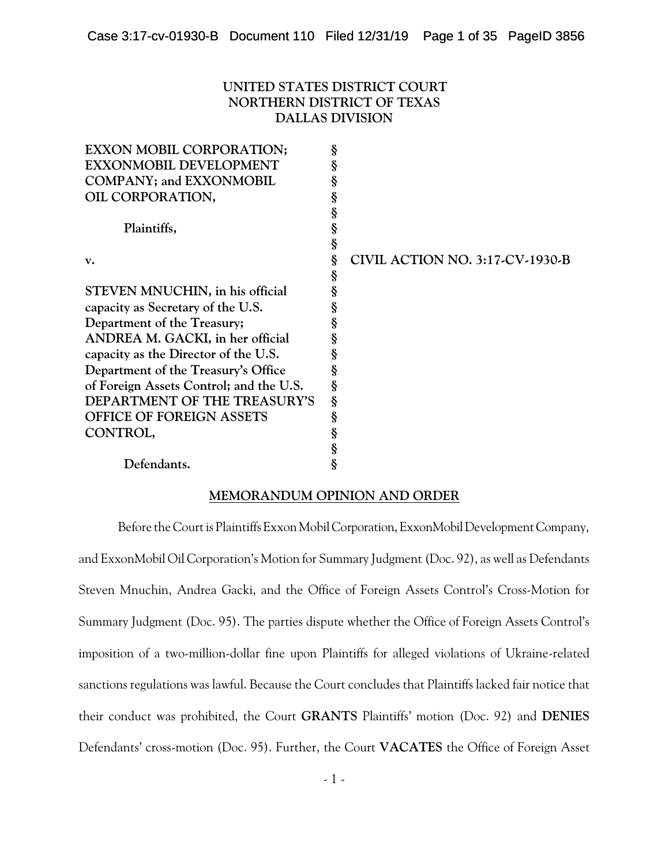## **UNITED STATES DISTRICT COURT NORTHERN DISTRICT OF TEXAS DALLAS DIVISION**

| <b>EXXON MOBIL CORPORATION;</b>         | § |                                        |
|-----------------------------------------|---|----------------------------------------|
| <b>EXXONMOBIL DEVELOPMENT</b>           | § |                                        |
| <b>COMPANY; and EXXONMOBIL</b>          |   |                                        |
| OIL CORPORATION,                        | 8 |                                        |
|                                         | § |                                        |
| Plaintiffs,                             | § |                                        |
|                                         | § |                                        |
| v.                                      | ş | <b>CIVIL ACTION NO. 3:17-CV-1930-B</b> |
|                                         | § |                                        |
| STEVEN MNUCHIN, in his official         |   |                                        |
| capacity as Secretary of the U.S.       |   |                                        |
| Department of the Treasury;             |   |                                        |
| ANDREA M. GACKI, in her official        |   |                                        |
| capacity as the Director of the U.S.    | § |                                        |
| Department of the Treasury's Office     | § |                                        |
| of Foreign Assets Control; and the U.S. | § |                                        |
| DEPARTMENT OF THE TREASURY'S            | § |                                        |
| <b>OFFICE OF FOREIGN ASSETS</b>         | § |                                        |
| CONTROL,                                | § |                                        |
|                                         | § |                                        |
| Defendants.                             | § |                                        |

## **MEMORANDUM OPINION AND ORDER**

Before the Court is Plaintiffs Exxon Mobil Corporation, Exxon Mobil Development Company, and ExxonMobil Oil Corporation's Motion for Summary Judgment (Doc. 92), as well as Defendants Steven Mnuchin, Andrea Gacki, and the Office of Foreign Assets Control's Cross-Motion for Summary Judgment (Doc. 95). The parties dispute whether the Office of Foreign Assets Control's imposition of a two-million-dollar fine upon Plaintiffs for alleged violations of Ukraine-related sanctions regulations was lawful. Because the Court concludes that Plaintiffs lacked fair notice that their conduct was prohibited, the Court **GRANTS** Plaintiffs' motion (Doc. 92) and **DENIES** Defendants' cross-motion (Doc. 95). Further, the Court **VACATES** the Office of Foreign Asset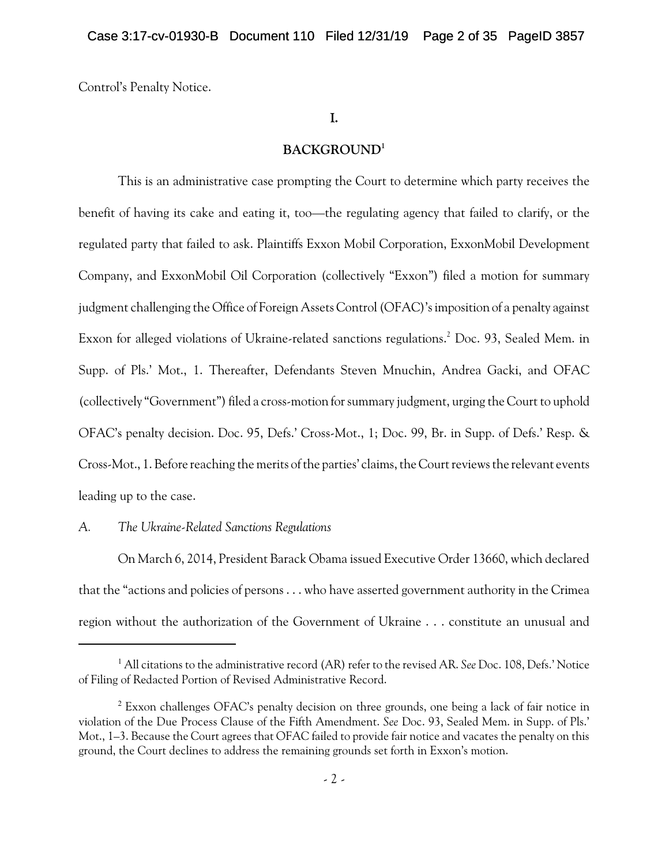Control's Penalty Notice.

## **I.**

## **BACKGROUND<sup>1</sup>**

This is an administrative case prompting the Court to determine which party receives the benefit of having its cake and eating it, too—the regulating agency that failed to clarify, or the regulated party that failed to ask. Plaintiffs Exxon Mobil Corporation, ExxonMobil Development Company, and ExxonMobil Oil Corporation (collectively "Exxon") filed a motion for summary judgment challenging the Office of Foreign Assets Control(OFAC)'s imposition of a penalty against Exxon for alleged violations of Ukraine-related sanctions regulations.<sup>2</sup> Doc. 93, Sealed Mem. in Supp. of Pls.' Mot., 1. Thereafter, Defendants Steven Mnuchin, Andrea Gacki, and OFAC (collectively "Government") filed a cross-motion for summary judgment, urging the Court to uphold OFAC's penalty decision. Doc. 95, Defs.' Cross-Mot., 1; Doc. 99, Br. in Supp. of Defs.' Resp. & Cross-Mot., 1. Before reaching the merits of the parties' claims, the Court reviews the relevant events leading up to the case.

## *A. The Ukraine-Related Sanctions Regulations*

On March 6, 2014, President Barack Obama issued Executive Order 13660, which declared that the "actions and policies of persons . . . who have asserted government authority in the Crimea region without the authorization of the Government of Ukraine . . . constitute an unusual and

<sup>1</sup> All citations to the administrative record (AR) refer to the revised AR. *See* Doc. 108, Defs.' Notice of Filing of Redacted Portion of Revised Administrative Record.

<sup>&</sup>lt;sup>2</sup> Exxon challenges OFAC's penalty decision on three grounds, one being a lack of fair notice in violation of the Due Process Clause of the Fifth Amendment. *See* Doc. 93, Sealed Mem. in Supp. of Pls.' Mot., 1–3. Because the Court agrees that OFAC failed to provide fair notice and vacates the penalty on this ground, the Court declines to address the remaining grounds set forth in Exxon's motion.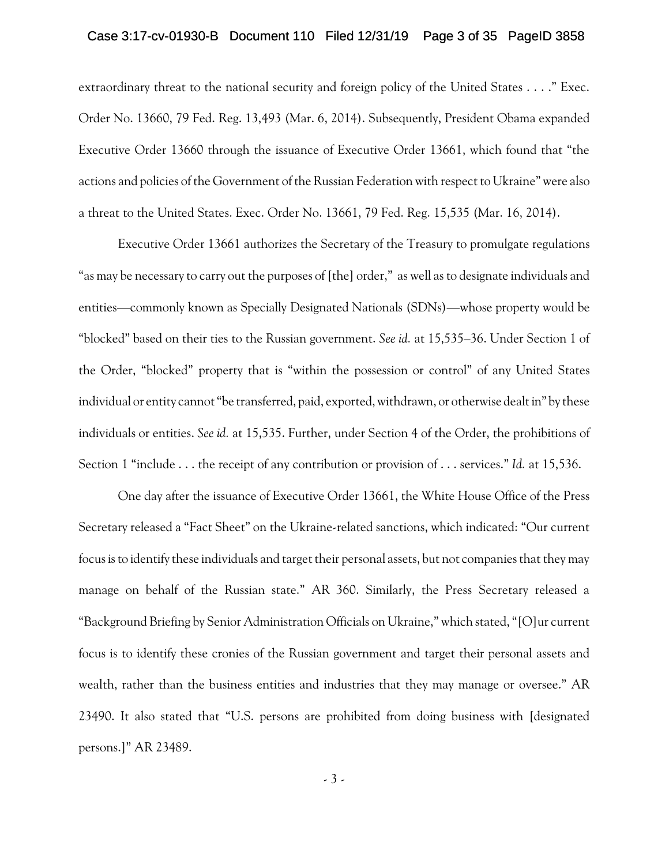## Case 3:17-cv-01930-B Document 110 Filed 12/31/19 Page 3 of 35 PageID 3858

extraordinary threat to the national security and foreign policy of the United States . . . ." Exec. Order No. 13660, 79 Fed. Reg. 13,493 (Mar. 6, 2014). Subsequently, President Obama expanded Executive Order 13660 through the issuance of Executive Order 13661, which found that "the actions and policies of the Government of the Russian Federation with respect to Ukraine" were also a threat to the United States. Exec. Order No. 13661, 79 Fed. Reg. 15,535 (Mar. 16, 2014).

Executive Order 13661 authorizes the Secretary of the Treasury to promulgate regulations "as may be necessary to carry out the purposes of [the] order," as well as to designate individuals and entities—commonly known as Specially Designated Nationals (SDNs)—whose property would be "blocked" based on their ties to the Russian government. *See id.* at 15,535–36. Under Section 1 of the Order, "blocked" property that is "within the possession or control" of any United States individual or entity cannot "be transferred, paid, exported, withdrawn, or otherwise dealt in" by these individuals or entities. *See id.* at 15,535. Further, under Section 4 of the Order, the prohibitions of Section 1 "include . . . the receipt of any contribution or provision of . . . services." *Id.* at 15,536.

One day after the issuance of Executive Order 13661, the White House Office of the Press Secretary released a "Fact Sheet" on the Ukraine-related sanctions, which indicated: "Our current focus is to identify these individuals and target their personal assets, but not companies that they may manage on behalf of the Russian state." AR 360. Similarly, the Press Secretary released a "Background Briefing by Senior Administration Officials on Ukraine," which stated, "[O]ur current focus is to identify these cronies of the Russian government and target their personal assets and wealth, rather than the business entities and industries that they may manage or oversee." AR 23490. It also stated that "U.S. persons are prohibited from doing business with [designated persons.]" AR 23489.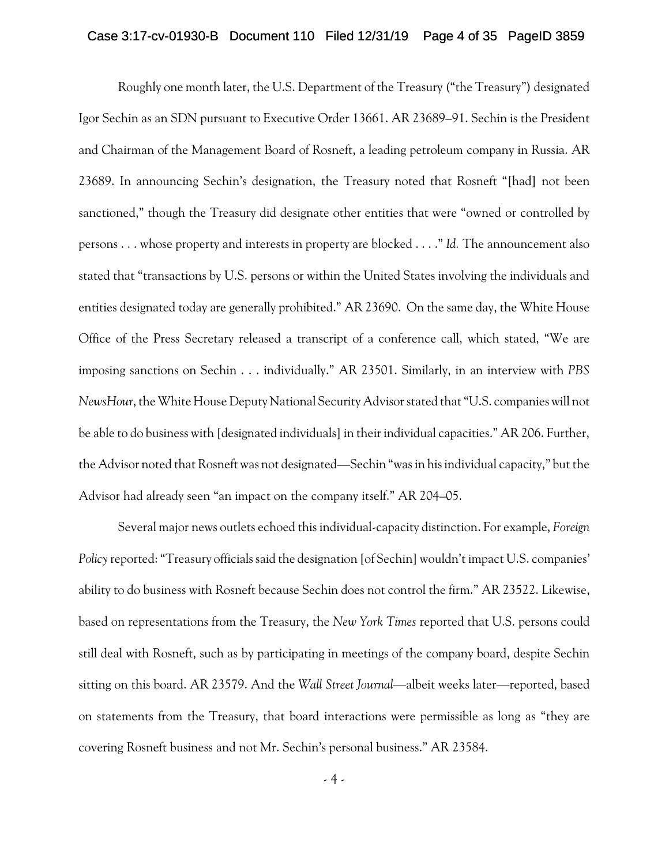### Case 3:17-cv-01930-B Document 110 Filed 12/31/19 Page 4 of 35 PageID 3859

Roughly one month later, the U.S. Department of the Treasury ("the Treasury") designated Igor Sechin as an SDN pursuant to Executive Order 13661. AR 23689–91. Sechin is the President and Chairman of the Management Board of Rosneft, a leading petroleum company in Russia. AR 23689. In announcing Sechin's designation, the Treasury noted that Rosneft "[had] not been sanctioned," though the Treasury did designate other entities that were "owned or controlled by persons . . . whose property and interests in property are blocked . . . ." *Id.* The announcement also stated that "transactions by U.S. persons or within the United States involving the individuals and entities designated today are generally prohibited." AR 23690. On the same day, the White House Office of the Press Secretary released a transcript of a conference call, which stated, "We are imposing sanctions on Sechin . . . individually." AR 23501. Similarly, in an interview with *PBS NewsHour*, the White House Deputy National Security Advisor stated that "U.S. companies will not be able to do business with [designated individuals] in their individual capacities." AR 206. Further, the Advisor noted that Rosneft was not designated—Sechin "was in his individual capacity," but the Advisor had already seen "an impact on the company itself." AR 204–05.

Several major news outlets echoed this individual-capacity distinction. For example, *Foreign Policy* reported: "Treasury officials said the designation [of Sechin] wouldn't impact U.S. companies' ability to do business with Rosneft because Sechin does not control the firm." AR 23522. Likewise, based on representations from the Treasury, the *New York Times* reported that U.S. persons could still deal with Rosneft, such as by participating in meetings of the company board, despite Sechin sitting on this board. AR 23579. And the *Wall Street Journal*—albeit weeks later—reported, based on statements from the Treasury, that board interactions were permissible as long as "they are covering Rosneft business and not Mr. Sechin's personal business." AR 23584.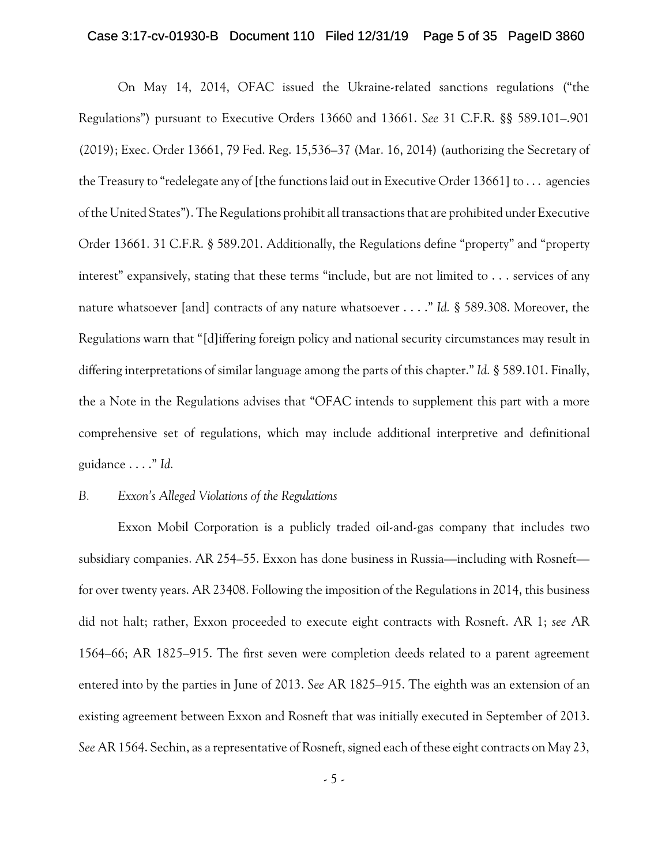### Case 3:17-cv-01930-B Document 110 Filed 12/31/19 Page 5 of 35 PageID 3860

On May 14, 2014, OFAC issued the Ukraine-related sanctions regulations ("the Regulations") pursuant to Executive Orders 13660 and 13661. *See* 31 C.F.R. §§ 589.101–.901 (2019); Exec. Order 13661, 79 Fed. Reg. 15,536–37 (Mar. 16, 2014) (authorizing the Secretary of the Treasury to "redelegate any of [the functions laid out in Executive Order 13661] to . . . agencies of the United States"). The Regulations prohibit alltransactions that are prohibited under Executive Order 13661. 31 C.F.R. § 589.201. Additionally, the Regulations define "property" and "property interest" expansively, stating that these terms "include, but are not limited to . . . services of any nature whatsoever [and] contracts of any nature whatsoever . . . ." *Id.* § 589.308. Moreover, the Regulations warn that "[d]iffering foreign policy and national security circumstances may result in differing interpretations of similar language among the parts of this chapter." *Id.* § 589.101. Finally, the a Note in the Regulations advises that "OFAC intends to supplement this part with a more comprehensive set of regulations, which may include additional interpretive and definitional guidance . . . ." *Id.*

## *B. Exxon's Alleged Violations of the Regulations*

Exxon Mobil Corporation is a publicly traded oil-and-gas company that includes two subsidiary companies. AR 254–55. Exxon has done business in Russia—including with Rosneft for over twenty years. AR 23408. Following the imposition of the Regulations in 2014, this business did not halt; rather, Exxon proceeded to execute eight contracts with Rosneft. AR 1; *see* AR 1564–66; AR 1825–915. The first seven were completion deeds related to a parent agreement entered into by the parties in June of 2013. *See* AR 1825–915. The eighth was an extension of an existing agreement between Exxon and Rosneft that was initially executed in September of 2013. *See* AR 1564. Sechin, as a representative of Rosneft, signed each of these eight contracts on May 23,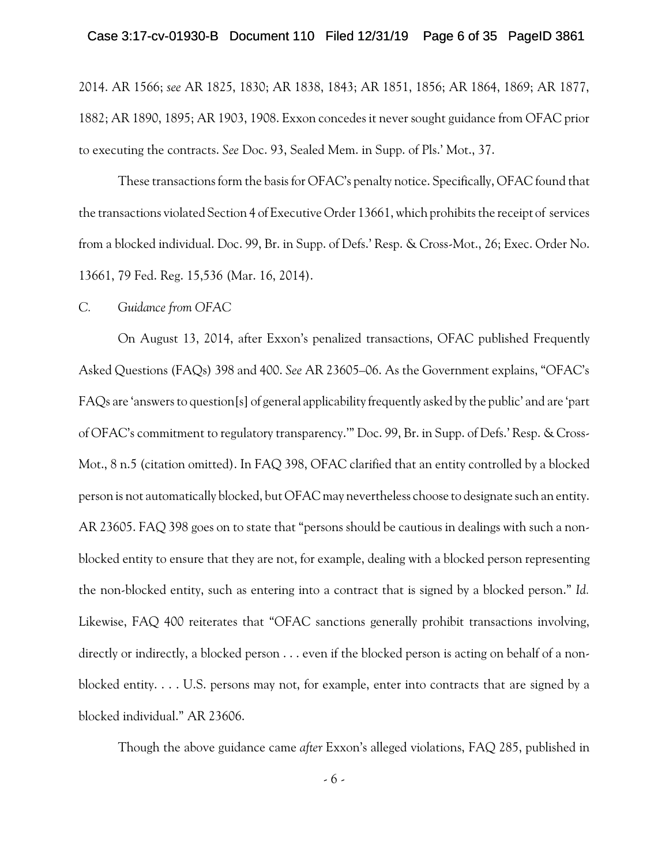### Case 3:17-cv-01930-B Document 110 Filed 12/31/19 Page 6 of 35 PageID 3861

2014. AR 1566; *see* AR 1825, 1830; AR 1838, 1843; AR 1851, 1856; AR 1864, 1869; AR 1877, 1882; AR 1890, 1895; AR 1903, 1908. Exxon concedes it never sought guidance from OFAC prior to executing the contracts. *See* Doc. 93, Sealed Mem. in Supp. of Pls.' Mot., 37.

These transactions form the basis for OFAC's penalty notice. Specifically, OFAC found that the transactions violated Section 4 of Executive Order 13661, which prohibits the receipt of services from a blocked individual. Doc. 99, Br. in Supp. of Defs.' Resp. & Cross-Mot., 26; Exec. Order No. 13661, 79 Fed. Reg. 15,536 (Mar. 16, 2014).

#### *C. Guidance from OFAC*

On August 13, 2014, after Exxon's penalized transactions, OFAC published Frequently Asked Questions (FAQs) 398 and 400. *See* AR 23605–06. As the Government explains, "OFAC's FAQs are 'answers to question[s] of general applicability frequently asked by the public' and are 'part of OFAC's commitment to regulatory transparency.'" Doc. 99, Br. in Supp. of Defs.' Resp. & Cross-Mot., 8 n.5 (citation omitted). In FAQ 398, OFAC clarified that an entity controlled by a blocked person is not automatically blocked, but OFAC may nevertheless choose to designate such an entity. AR 23605. FAQ 398 goes on to state that "persons should be cautious in dealings with such a nonblocked entity to ensure that they are not, for example, dealing with a blocked person representing the non-blocked entity, such as entering into a contract that is signed by a blocked person." *Id.* Likewise, FAQ 400 reiterates that "OFAC sanctions generally prohibit transactions involving, directly or indirectly, a blocked person . . . even if the blocked person is acting on behalf of a nonblocked entity. . . . U.S. persons may not, for example, enter into contracts that are signed by a blocked individual." AR 23606.

Though the above guidance came *after* Exxon's alleged violations, FAQ 285, published in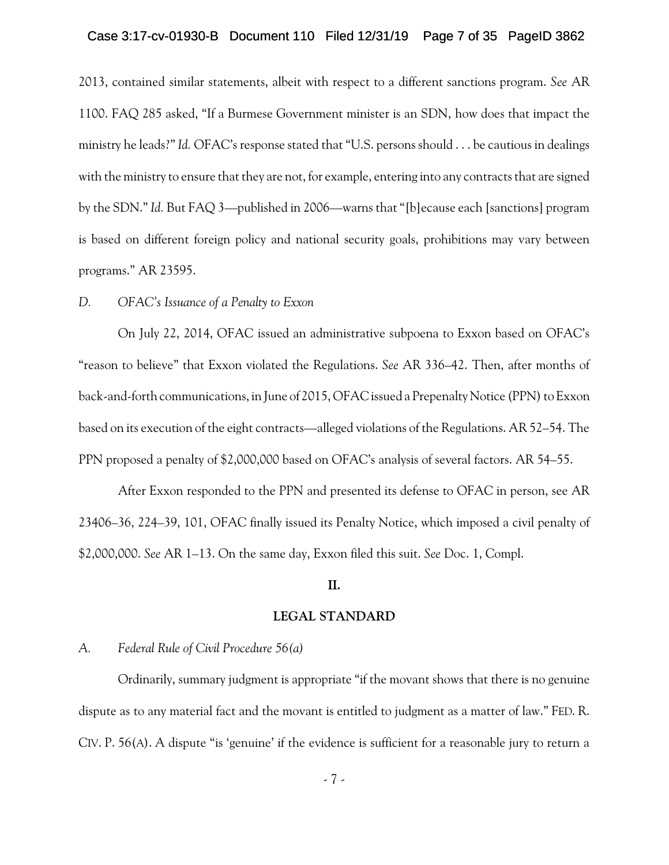### Case 3:17-cv-01930-B Document 110 Filed 12/31/19 Page 7 of 35 PageID 3862

2013, contained similar statements, albeit with respect to a different sanctions program. *See* AR 1100. FAQ 285 asked, "If a Burmese Government minister is an SDN, how does that impact the ministry he leads?" *Id.* OFAC's response stated that "U.S. persons should . . . be cautious in dealings with the ministry to ensure that they are not, for example, entering into any contracts that are signed by the SDN." *Id.* But FAQ 3—published in 2006—warns that "[b]ecause each [sanctions] program is based on different foreign policy and national security goals, prohibitions may vary between programs." AR 23595.

## *D. OFAC's Issuance of a Penalty to Exxon*

On July 22, 2014, OFAC issued an administrative subpoena to Exxon based on OFAC's "reason to believe" that Exxon violated the Regulations. *See* AR 336–42. Then, after months of back-and-forth communications, in June of 2015, OFAC issued a Prepenalty Notice (PPN) to Exxon based on its execution of the eight contracts—alleged violations of the Regulations. AR 52–54. The PPN proposed a penalty of \$2,000,000 based on OFAC's analysis of several factors. AR 54–55.

After Exxon responded to the PPN and presented its defense to OFAC in person, see AR 23406–36, 224–39, 101, OFAC finally issued its Penalty Notice, which imposed a civil penalty of \$2,000,000. *See* AR 1–13. On the same day, Exxon filed this suit. *See* Doc. 1, Compl.

### **II.**

#### **LEGAL STANDARD**

## *A. Federal Rule of Civil Procedure 56(a)*

Ordinarily, summary judgment is appropriate "if the movant shows that there is no genuine dispute as to any material fact and the movant is entitled to judgment as a matter of law." FED. R. CIV. P. 56(A). A dispute "is 'genuine' if the evidence is sufficient for a reasonable jury to return a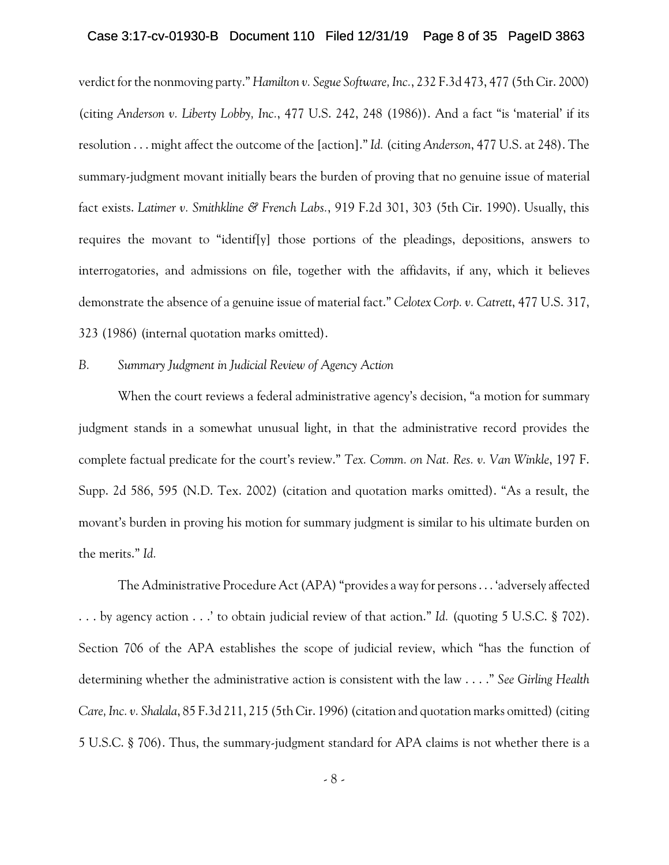## Case 3:17-cv-01930-B Document 110 Filed 12/31/19 Page 8 of 35 PageID 3863

verdict for the nonmoving party." *Hamilton v. Segue Software, Inc.*, 232 F.3d 473, 477 (5th Cir. 2000) (citing *Anderson v. Liberty Lobby, Inc.*, 477 U.S. 242, 248 (1986)). And a fact "is 'material' if its resolution . . . might affect the outcome of the [action]." *Id.* (citing *Anderson*, 477 U.S. at 248). The summary-judgment movant initially bears the burden of proving that no genuine issue of material fact exists. *Latimer v. Smithkline & French Labs.*, 919 F.2d 301, 303 (5th Cir. 1990). Usually, this requires the movant to "identif[y] those portions of the pleadings, depositions, answers to interrogatories, and admissions on file, together with the affidavits, if any, which it believes demonstrate the absence of a genuine issue of material fact." *Celotex Corp. v. Catrett*, 477 U.S. 317, 323 (1986) (internal quotation marks omitted).

#### *B. Summary Judgment in Judicial Review of Agency Action*

When the court reviews a federal administrative agency's decision, "a motion for summary judgment stands in a somewhat unusual light, in that the administrative record provides the complete factual predicate for the court's review." *Tex. Comm. on Nat. Res. v. Van Winkle*, 197 F. Supp. 2d 586, 595 (N.D. Tex. 2002) (citation and quotation marks omitted). "As a result, the movant's burden in proving his motion for summary judgment is similar to his ultimate burden on the merits." *Id.*

The Administrative Procedure Act (APA) "provides a way for persons . . . 'adversely affected . . . by agency action . . .' to obtain judicial review of that action." *Id.* (quoting 5 U.S.C. § 702). Section 706 of the APA establishes the scope of judicial review, which "has the function of determining whether the administrative action is consistent with the law . . . ." *See Girling Health Care, Inc. v. Shalala*, 85 F.3d 211, 215 (5th Cir. 1996)(citation and quotation marks omitted) (citing 5 U.S.C. § 706). Thus, the summary-judgment standard for APA claims is not whether there is a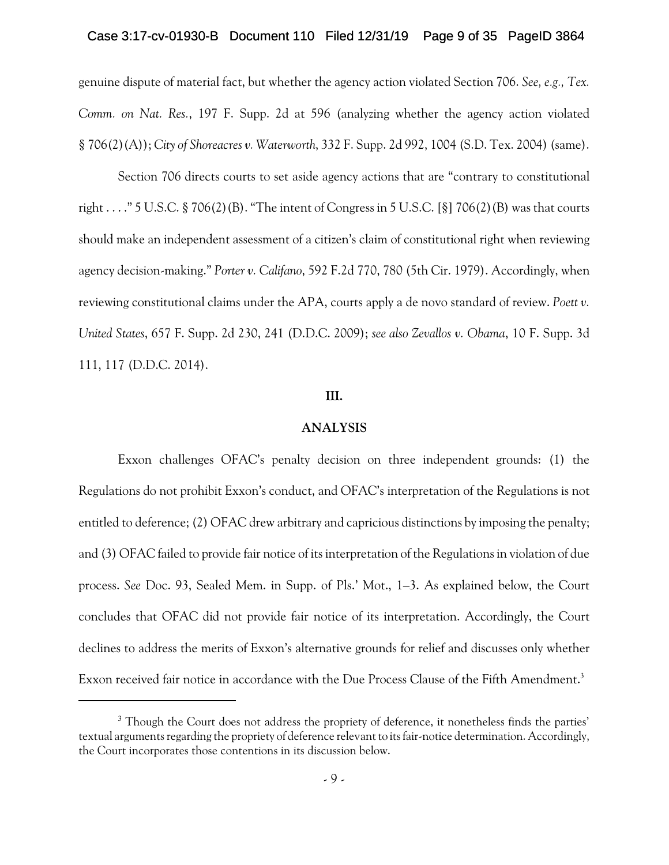### Case 3:17-cv-01930-B Document 110 Filed 12/31/19 Page 9 of 35 PageID 3864

genuine dispute of material fact, but whether the agency action violated Section 706. *See, e.g., Tex. Comm. on Nat. Res.*, 197 F. Supp. 2d at 596 (analyzing whether the agency action violated § 706(2)(A)); *City of Shoreacres v. Waterworth*, 332 F. Supp. 2d 992, 1004 (S.D. Tex. 2004) (same).

Section 706 directs courts to set aside agency actions that are "contrary to constitutional right . . . ." 5 U.S.C. § 706(2)(B). "The intent of Congress in 5 U.S.C. [§] 706(2)(B) was that courts should make an independent assessment of a citizen's claim of constitutional right when reviewing agency decision-making." *Porter v. Califano*, 592 F.2d 770, 780 (5th Cir. 1979). Accordingly, when reviewing constitutional claims under the APA, courts apply a de novo standard of review. *Poett v. United States*, 657 F. Supp. 2d 230, 241 (D.D.C. 2009); *see also Zevallos v. Obama*, 10 F. Supp. 3d 111, 117 (D.D.C. 2014).

## **III.**

#### **ANALYSIS**

Exxon challenges OFAC's penalty decision on three independent grounds: (1) the Regulations do not prohibit Exxon's conduct, and OFAC's interpretation of the Regulations is not entitled to deference; (2) OFAC drew arbitrary and capricious distinctions by imposing the penalty; and (3) OFAC failed to provide fair notice of its interpretation of the Regulations in violation of due process. *See* Doc. 93, Sealed Mem. in Supp. of Pls.' Mot., 1–3. As explained below, the Court concludes that OFAC did not provide fair notice of its interpretation. Accordingly, the Court declines to address the merits of Exxon's alternative grounds for relief and discusses only whether Exxon received fair notice in accordance with the Due Process Clause of the Fifth Amendment.<sup>3</sup>

<sup>&</sup>lt;sup>3</sup> Though the Court does not address the propriety of deference, it nonetheless finds the parties' textual arguments regarding the propriety of deference relevant to its fair-notice determination. Accordingly, the Court incorporates those contentions in its discussion below.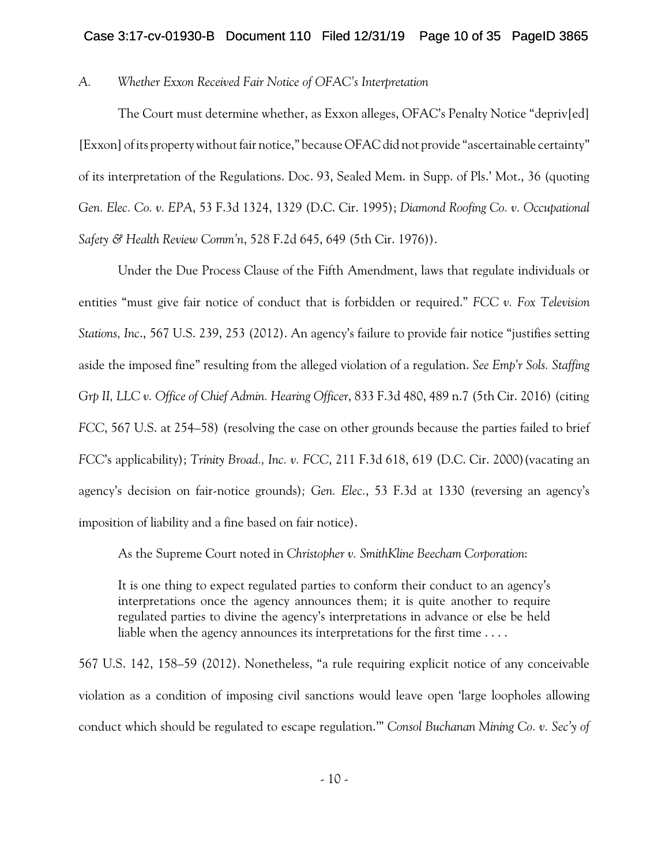## Case 3:17-cv-01930-B Document 110 Filed 12/31/19 Page 10 of 35 PageID 3865

## *A. Whether Exxon Received Fair Notice of OFAC's Interpretation*

The Court must determine whether, as Exxon alleges, OFAC's Penalty Notice "depriv[ed] [Exxon] of its property without fair notice," because OFAC did not provide "ascertainable certainty" of its interpretation of the Regulations. Doc. 93, Sealed Mem. in Supp. of Pls.' Mot., 36 (quoting *Gen. Elec. Co. v. EPA*, 53 F.3d 1324, 1329 (D.C. Cir. 1995); *Diamond Roofing Co. v. Occupational Safety & Health Review Comm'n*, 528 F.2d 645, 649 (5th Cir. 1976)).

Under the Due Process Clause of the Fifth Amendment, laws that regulate individuals or entities "must give fair notice of conduct that is forbidden or required." *FCC v. Fox Television Stations, Inc*., 567 U.S. 239, 253 (2012). An agency's failure to provide fair notice "justifies setting aside the imposed fine" resulting from the alleged violation of a regulation. *See Emp'r Sols. Staffing Grp II, LLC v. Office of Chief Admin. Hearing Officer*, 833 F.3d 480, 489 n.7 (5th Cir. 2016) (citing *FCC*, 567 U.S. at 254–58) (resolving the case on other grounds because the parties failed to brief *FCC*'s applicability); *Trinity Broad., Inc. v. FCC*, 211 F.3d 618, 619 (D.C. Cir. 2000)(vacating an agency's decision on fair-notice grounds)*; Gen. Elec.*, 53 F.3d at 1330 (reversing an agency's imposition of liability and a fine based on fair notice).

As the Supreme Court noted in *Christopher v. SmithKline Beecham Corporation*:

It is one thing to expect regulated parties to conform their conduct to an agency's interpretations once the agency announces them; it is quite another to require regulated parties to divine the agency's interpretations in advance or else be held liable when the agency announces its interpretations for the first time . . . .

567 U.S. 142, 158–59 (2012). Nonetheless, "a rule requiring explicit notice of any conceivable violation as a condition of imposing civil sanctions would leave open 'large loopholes allowing conduct which should be regulated to escape regulation.'" *Consol Buchanan Mining Co. v. Sec'y of*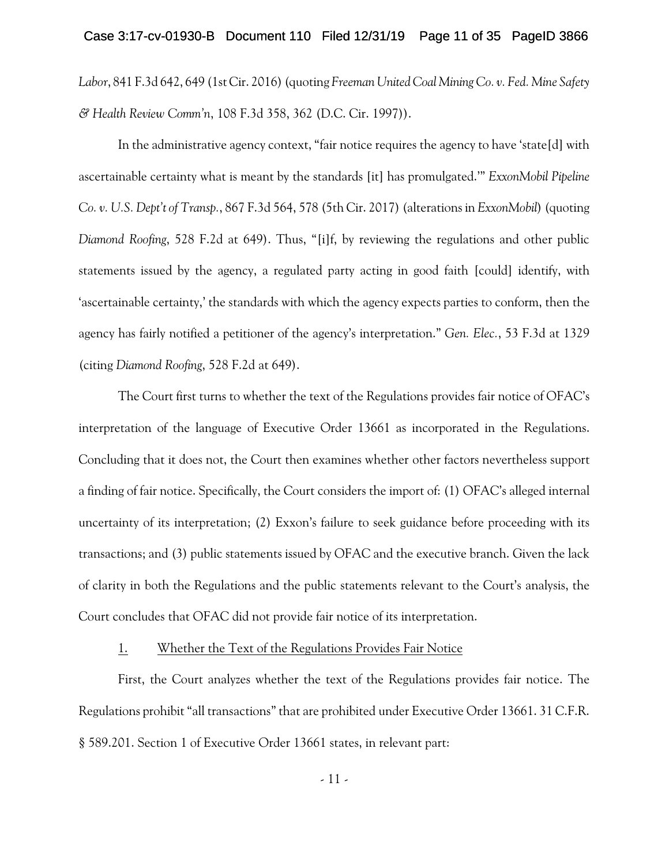### Case 3:17-cv-01930-B Document 110 Filed 12/31/19 Page 11 of 35 PageID 3866

*Labor*, 841 F.3d 642, 649 (1st Cir. 2016) (quoting *Freeman United Coal Mining Co. v. Fed. Mine Safety & Health Review Comm'n*, 108 F.3d 358, 362 (D.C. Cir. 1997)).

In the administrative agency context, "fair notice requires the agency to have 'state[d] with ascertainable certainty what is meant by the standards [it] has promulgated.'" *ExxonMobil Pipeline Co. v. U.S. Dept't of Transp.*, 867 F.3d 564, 578 (5th Cir. 2017) (alterations in *ExxonMobil*) (quoting *Diamond Roofing*, 528 F.2d at 649). Thus, "[i]f, by reviewing the regulations and other public statements issued by the agency, a regulated party acting in good faith [could] identify, with 'ascertainable certainty,' the standards with which the agency expects parties to conform, then the agency has fairly notified a petitioner of the agency's interpretation." *Gen. Elec.*, 53 F.3d at 1329 (citing *Diamond Roofing*, 528 F.2d at 649).

The Court first turns to whether the text of the Regulations provides fair notice of OFAC's interpretation of the language of Executive Order 13661 as incorporated in the Regulations. Concluding that it does not, the Court then examines whether other factors nevertheless support a finding of fair notice. Specifically, the Court considers the import of: (1) OFAC's alleged internal uncertainty of its interpretation; (2) Exxon's failure to seek guidance before proceeding with its transactions; and (3) public statements issued by OFAC and the executive branch. Given the lack of clarity in both the Regulations and the public statements relevant to the Court's analysis, the Court concludes that OFAC did not provide fair notice of its interpretation.

## 1. Whether the Text of the Regulations Provides Fair Notice

First, the Court analyzes whether the text of the Regulations provides fair notice. The Regulations prohibit "all transactions" that are prohibited under Executive Order 13661. 31 C.F.R. § 589.201. Section 1 of Executive Order 13661 states, in relevant part: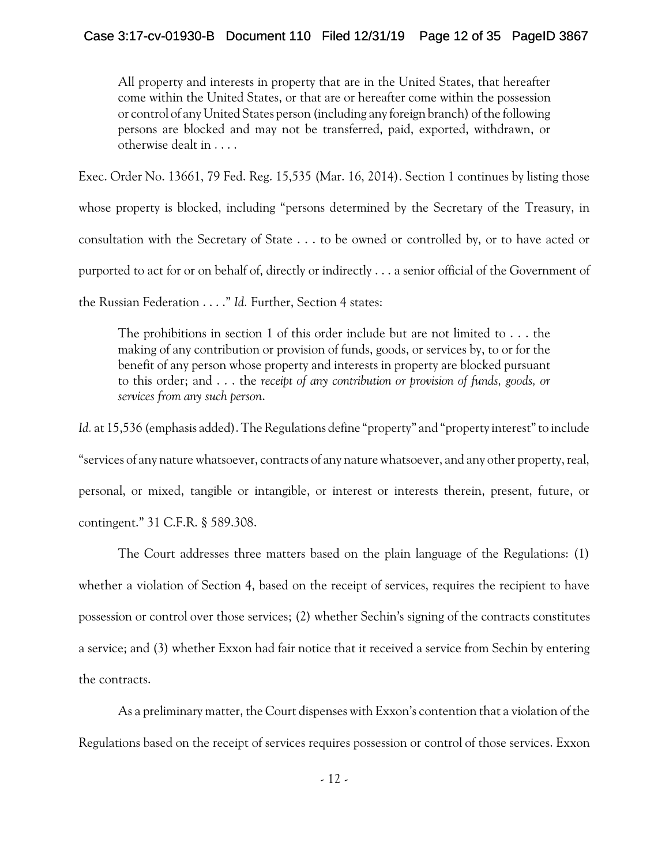All property and interests in property that are in the United States, that hereafter come within the United States, or that are or hereafter come within the possession or control of any United States person (including any foreign branch) of the following persons are blocked and may not be transferred, paid, exported, withdrawn, or otherwise dealt in . . . .

Exec. Order No. 13661, 79 Fed. Reg. 15,535 (Mar. 16, 2014). Section 1 continues by listing those

whose property is blocked, including "persons determined by the Secretary of the Treasury, in

consultation with the Secretary of State . . . to be owned or controlled by, or to have acted or

purported to act for or on behalf of, directly or indirectly . . . a senior official of the Government of

the Russian Federation . . . ." *Id.* Further, Section 4 states:

The prohibitions in section 1 of this order include but are not limited to  $\dots$  the making of any contribution or provision of funds, goods, or services by, to or for the benefit of any person whose property and interests in property are blocked pursuant to this order; and . . . the *receipt of any contribution or provision of funds, goods, or services from any such person*.

Id. at 15,536 (emphasis added). The Regulations define "property" and "property interest" to include "services of any nature whatsoever, contracts of any nature whatsoever, and any other property, real, personal, or mixed, tangible or intangible, or interest or interests therein, present, future, or contingent." 31 C.F.R. § 589.308.

The Court addresses three matters based on the plain language of the Regulations: (1) whether a violation of Section 4, based on the receipt of services, requires the recipient to have possession or control over those services; (2) whether Sechin's signing of the contracts constitutes a service; and (3) whether Exxon had fair notice that it received a service from Sechin by entering the contracts.

As a preliminary matter, the Court dispenses with Exxon's contention that a violation of the Regulations based on the receipt of services requires possession or control of those services. Exxon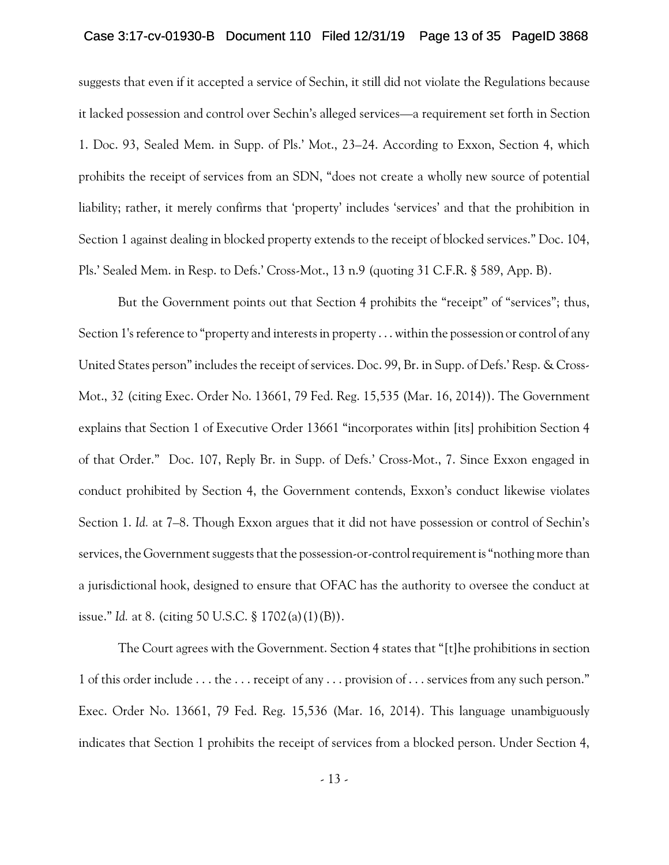## Case 3:17-cv-01930-B Document 110 Filed 12/31/19 Page 13 of 35 PageID 3868

suggests that even if it accepted a service of Sechin, it still did not violate the Regulations because it lacked possession and control over Sechin's alleged services—a requirement set forth in Section 1. Doc. 93, Sealed Mem. in Supp. of Pls.' Mot., 23–24. According to Exxon, Section 4, which prohibits the receipt of services from an SDN, "does not create a wholly new source of potential liability; rather, it merely confirms that 'property' includes 'services' and that the prohibition in Section 1 against dealing in blocked property extends to the receipt of blocked services." Doc. 104, Pls.' Sealed Mem. in Resp. to Defs.' Cross-Mot., 13 n.9 (quoting 31 C.F.R. § 589, App. B).

But the Government points out that Section 4 prohibits the "receipt" of "services"; thus, Section 1's reference to "property and interests in property . . . within the possession or control of any United States person"includes the receipt of services. Doc. 99, Br. in Supp. of Defs.' Resp. & Cross-Mot., 32 (citing Exec. Order No. 13661, 79 Fed. Reg. 15,535 (Mar. 16, 2014)). The Government explains that Section 1 of Executive Order 13661 "incorporates within [its] prohibition Section 4 of that Order." Doc. 107, Reply Br. in Supp. of Defs.' Cross-Mot., 7. Since Exxon engaged in conduct prohibited by Section 4, the Government contends, Exxon's conduct likewise violates Section 1. *Id.* at 7–8. Though Exxon argues that it did not have possession or control of Sechin's services, the Government suggests that the possession-or-controlrequirement is "nothing more than a jurisdictional hook, designed to ensure that OFAC has the authority to oversee the conduct at issue." *Id.* at 8. (citing 50 U.S.C. § 1702(a)(1)(B)).

The Court agrees with the Government. Section 4 states that "[t]he prohibitions in section 1 of this order include . . . the . . . receipt of any . . . provision of . . . services from any such person." Exec. Order No. 13661, 79 Fed. Reg. 15,536 (Mar. 16, 2014). This language unambiguously indicates that Section 1 prohibits the receipt of services from a blocked person. Under Section 4,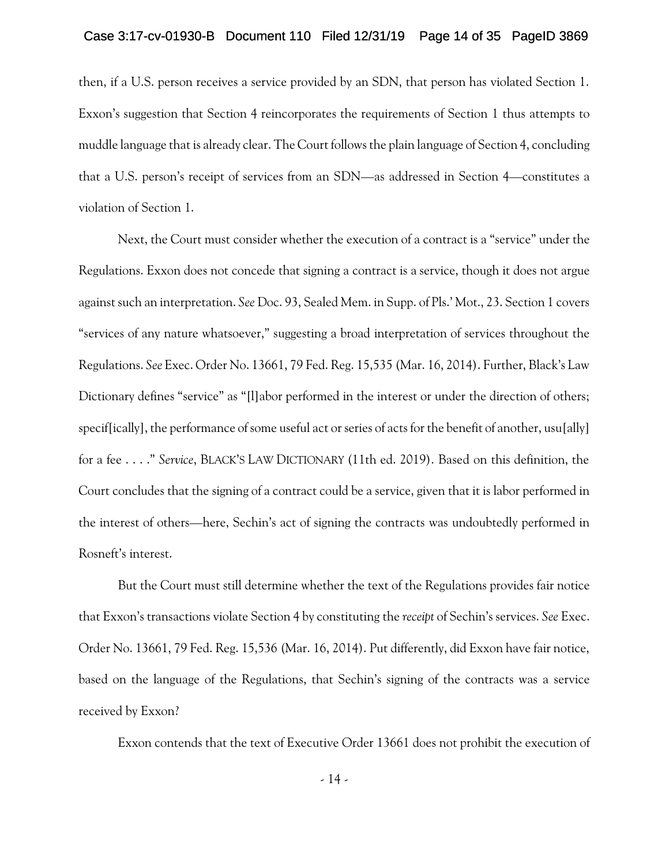### Case 3:17-cv-01930-B Document 110 Filed 12/31/19 Page 14 of 35 PageID 3869

then, if a U.S. person receives a service provided by an SDN, that person has violated Section 1. Exxon's suggestion that Section 4 reincorporates the requirements of Section 1 thus attempts to muddle language that is already clear. The Court follows the plain language of Section 4, concluding that a U.S. person's receipt of services from an SDN—as addressed in Section 4—constitutes a violation of Section 1.

Next, the Court must consider whether the execution of a contract is a "service" under the Regulations. Exxon does not concede that signing a contract is a service, though it does not argue against such an interpretation. *See* Doc. 93, Sealed Mem. in Supp. of Pls.' Mot., 23. Section 1 covers "services of any nature whatsoever," suggesting a broad interpretation of services throughout the Regulations. *See* Exec. Order No. 13661, 79 Fed. Reg. 15,535 (Mar. 16, 2014). Further, Black's Law Dictionary defines "service" as "[l]abor performed in the interest or under the direction of others; specif[ically], the performance of some useful act or series of acts for the benefit of another, usu[ally] for a fee . . . ." *Service*, BLACK'S LAW DICTIONARY (11th ed. 2019). Based on this definition, the Court concludes that the signing of a contract could be a service, given that it is labor performed in the interest of others—here, Sechin's act of signing the contracts was undoubtedly performed in Rosneft's interest.

But the Court must still determine whether the text of the Regulations provides fair notice that Exxon's transactions violate Section 4 by constituting the *receipt* of Sechin's services. *See* Exec. Order No. 13661, 79 Fed. Reg. 15,536 (Mar. 16, 2014). Put differently, did Exxon have fair notice, based on the language of the Regulations, that Sechin's signing of the contracts was a service received by Exxon?

Exxon contends that the text of Executive Order 13661 does not prohibit the execution of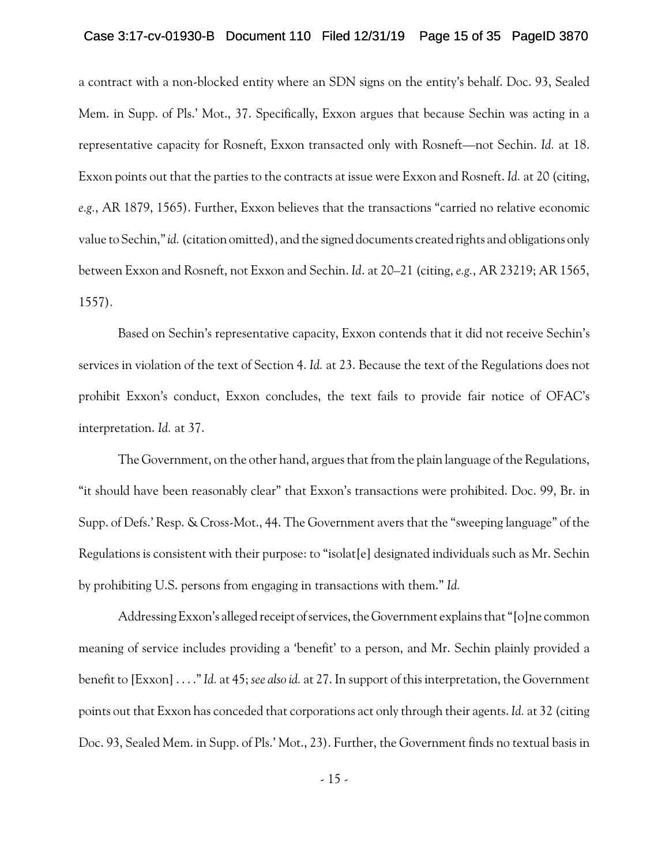### Case 3:17-cv-01930-B Document 110 Filed 12/31/19 Page 15 of 35 PageID 3870

a contract with a non-blocked entity where an SDN signs on the entity's behalf. Doc. 93, Sealed Mem. in Supp. of Pls.' Mot., 37. Specifically, Exxon argues that because Sechin was acting in a representative capacity for Rosneft, Exxon transacted only with Rosneft—not Sechin. *Id.* at 18. Exxon points out that the parties to the contracts at issue were Exxon and Rosneft. *Id.* at 20 (citing, *e.g.*, AR 1879, 1565). Further, Exxon believes that the transactions "carried no relative economic value to Sechin,"*id.*(citation omitted), and the signed documents created rights and obligations only between Exxon and Rosneft, not Exxon and Sechin. *Id*. at 20–21 (citing, *e.g.*, AR 23219; AR 1565, 1557).

Based on Sechin's representative capacity, Exxon contends that it did not receive Sechin's services in violation of the text of Section 4. *Id.* at 23. Because the text of the Regulations does not prohibit Exxon's conduct, Exxon concludes, the text fails to provide fair notice of OFAC's interpretation. *Id.* at 37.

The Government, on the other hand, argues that from the plain language of the Regulations, "it should have been reasonably clear" that Exxon's transactions were prohibited. Doc. 99, Br. in Supp. of Defs.' Resp. & Cross-Mot., 44. The Government avers that the "sweeping language" of the Regulations is consistent with their purpose: to "isolat[e] designated individuals such as Mr. Sechin by prohibiting U.S. persons from engaging in transactions with them." *Id.*

Addressing Exxon's alleged receipt of services, the Government explains that "[o]ne common meaning of service includes providing a 'benefit' to a person, and Mr. Sechin plainly provided a benefit to [Exxon] . . . ."*Id.* at 45; *see also id.* at 27. In support of this interpretation, the Government points out that Exxon has conceded that corporations act only through their agents. *Id.* at 32 (citing Doc. 93, Sealed Mem. in Supp. of Pls.' Mot., 23). Further, the Government finds no textual basis in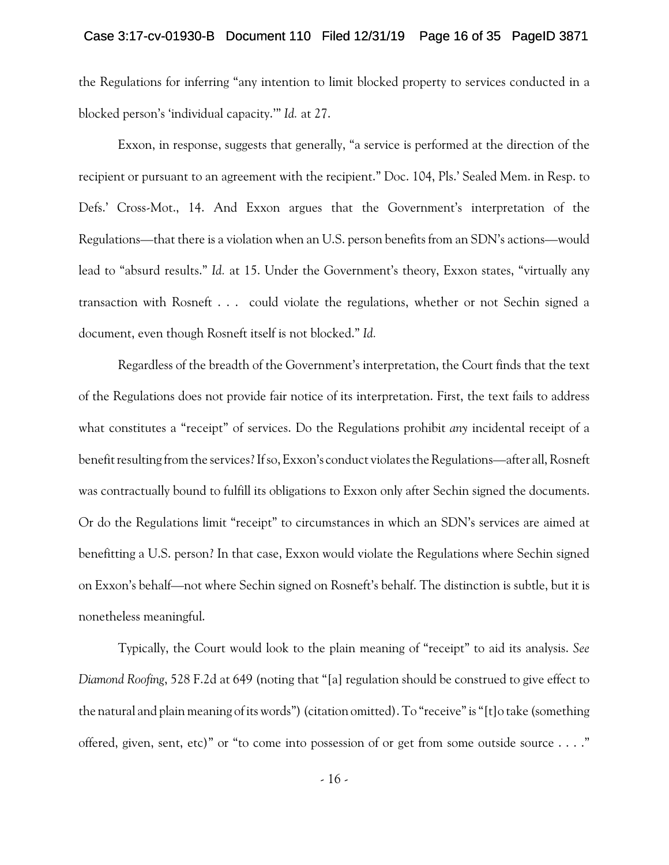the Regulations for inferring "any intention to limit blocked property to services conducted in a blocked person's 'individual capacity.'" *Id.* at 27.

Exxon, in response, suggests that generally, "a service is performed at the direction of the recipient or pursuant to an agreement with the recipient." Doc. 104, Pls.' Sealed Mem. in Resp. to Defs.' Cross-Mot., 14. And Exxon argues that the Government's interpretation of the Regulations—that there is a violation when an U.S. person benefits from an SDN's actions—would lead to "absurd results." *Id.* at 15. Under the Government's theory, Exxon states, "virtually any transaction with Rosneft . . . could violate the regulations, whether or not Sechin signed a document, even though Rosneft itself is not blocked." *Id.*

Regardless of the breadth of the Government's interpretation, the Court finds that the text of the Regulations does not provide fair notice of its interpretation. First, the text fails to address what constitutes a "receipt" of services. Do the Regulations prohibit *any* incidental receipt of a benefit resulting from the services?If so, Exxon's conduct violates the Regulations—after all, Rosneft was contractually bound to fulfill its obligations to Exxon only after Sechin signed the documents. Or do the Regulations limit "receipt" to circumstances in which an SDN's services are aimed at benefitting a U.S. person? In that case, Exxon would violate the Regulations where Sechin signed on Exxon's behalf—not where Sechin signed on Rosneft's behalf. The distinction is subtle, but it is nonetheless meaningful.

Typically, the Court would look to the plain meaning of "receipt" to aid its analysis. *See Diamond Roofing*, 528 F.2d at 649 (noting that "[a] regulation should be construed to give effect to the natural and plain meaning of its words") (citation omitted). To "receive" is "[t]o take (something offered, given, sent, etc)" or "to come into possession of or get from some outside source . . . ."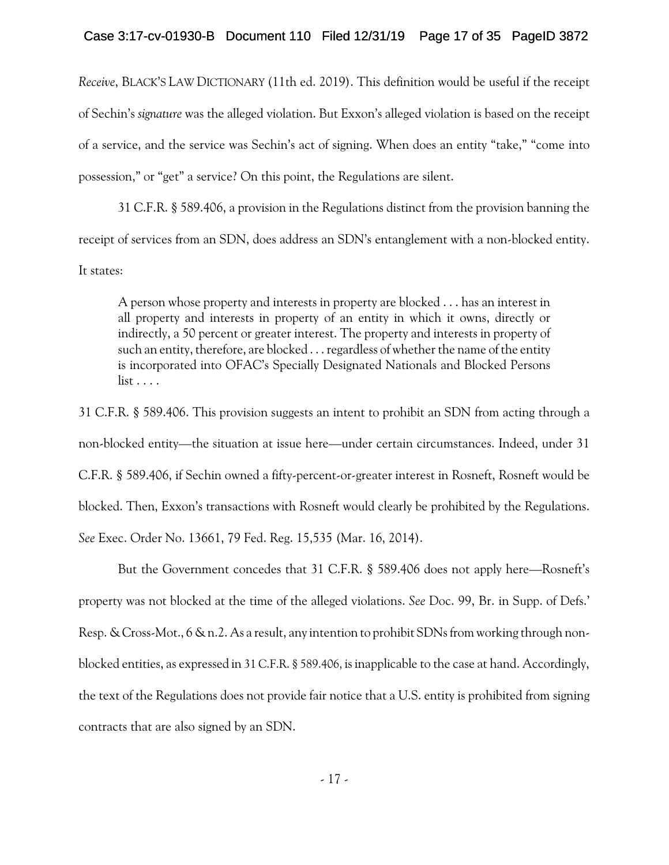## Case 3:17-cv-01930-B Document 110 Filed 12/31/19 Page 17 of 35 PageID 3872

*Receive*, BLACK'S LAW DICTIONARY (11th ed. 2019). This definition would be useful if the receipt of Sechin's *signature* was the alleged violation. But Exxon's alleged violation is based on the receipt of a service, and the service was Sechin's act of signing. When does an entity "take," "come into possession," or "get" a service? On this point, the Regulations are silent.

31 C.F.R. § 589.406, a provision in the Regulations distinct from the provision banning the receipt of services from an SDN, does address an SDN's entanglement with a non-blocked entity. It states:

A person whose property and interests in property are blocked . . . has an interest in all property and interests in property of an entity in which it owns, directly or indirectly, a 50 percent or greater interest. The property and interests in property of such an entity, therefore, are blocked  $\ldots$  regardless of whether the name of the entity is incorporated into OFAC's Specially Designated Nationals and Blocked Persons list . . . .

31 C.F.R. § 589.406. This provision suggests an intent to prohibit an SDN from acting through a non-blocked entity—the situation at issue here—under certain circumstances. Indeed, under 31 C.F.R. § 589.406, if Sechin owned a fifty-percent-or-greater interest in Rosneft, Rosneft would be blocked. Then, Exxon's transactions with Rosneft would clearly be prohibited by the Regulations. *See* Exec. Order No. 13661, 79 Fed. Reg. 15,535 (Mar. 16, 2014).

But the Government concedes that 31 C.F.R. § 589.406 does not apply here—Rosneft's property was not blocked at the time of the alleged violations. *See* Doc. 99, Br. in Supp. of Defs.' Resp. & Cross-Mot., 6 & n.2. As a result, any intention to prohibit SDNs from working through nonblocked entities, as expressed in 31 C.F.R. § 589.406, is inapplicable to the case at hand. Accordingly, the text of the Regulations does not provide fair notice that a U.S. entity is prohibited from signing contracts that are also signed by an SDN.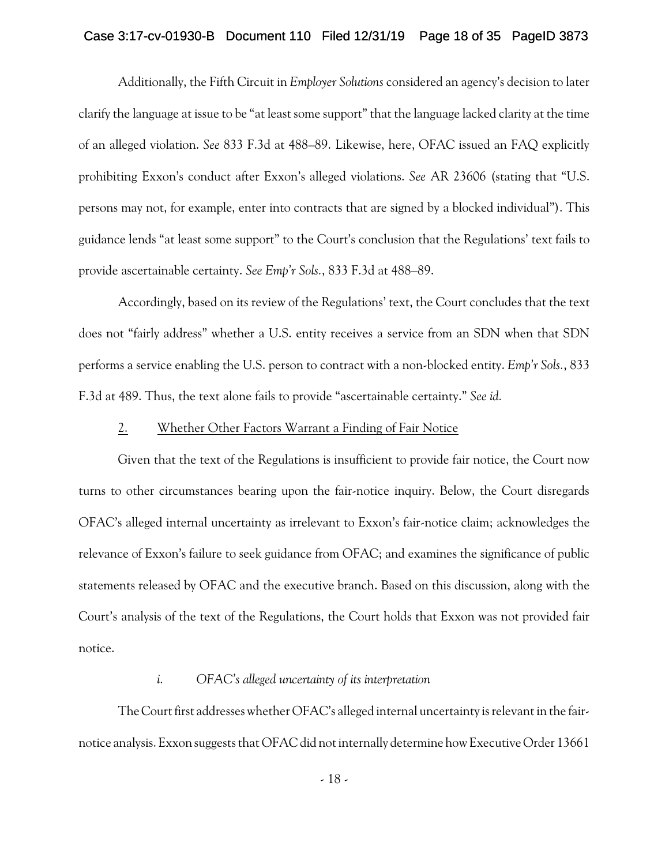### Case 3:17-cv-01930-B Document 110 Filed 12/31/19 Page 18 of 35 PageID 3873

Additionally, the Fifth Circuit in *Employer Solutions* considered an agency's decision to later clarify the language at issue to be "at least some support" that the language lacked clarity at the time of an alleged violation. *See* 833 F.3d at 488–89. Likewise, here, OFAC issued an FAQ explicitly prohibiting Exxon's conduct after Exxon's alleged violations. *See* AR 23606 (stating that "U.S. persons may not, for example, enter into contracts that are signed by a blocked individual"). This guidance lends "at least some support" to the Court's conclusion that the Regulations' text fails to provide ascertainable certainty. *See Emp'r Sols.*, 833 F.3d at 488–89.

Accordingly, based on its review of the Regulations' text, the Court concludes that the text does not "fairly address" whether a U.S. entity receives a service from an SDN when that SDN performs a service enabling the U.S. person to contract with a non-blocked entity. *Emp'r Sols.*, 833 F.3d at 489. Thus, the text alone fails to provide "ascertainable certainty." *See id.*

## 2. Whether Other Factors Warrant a Finding of Fair Notice

Given that the text of the Regulations is insufficient to provide fair notice, the Court now turns to other circumstances bearing upon the fair-notice inquiry. Below, the Court disregards OFAC's alleged internal uncertainty as irrelevant to Exxon's fair-notice claim; acknowledges the relevance of Exxon's failure to seek guidance from OFAC; and examines the significance of public statements released by OFAC and the executive branch. Based on this discussion, along with the Court's analysis of the text of the Regulations, the Court holds that Exxon was not provided fair notice.

## *i. OFAC's alleged uncertainty of its interpretation*

The Court first addresses whether OFAC's alleged internal uncertainty is relevant in the fairnotice analysis. Exxon suggests that OFAC did not internally determine how Executive Order 13661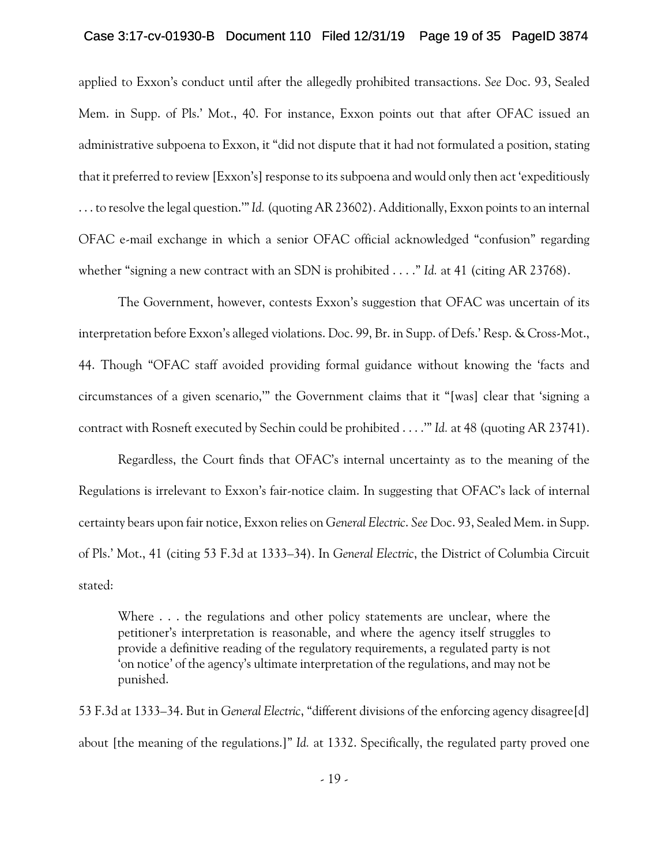### Case 3:17-cv-01930-B Document 110 Filed 12/31/19 Page 19 of 35 PageID 3874

applied to Exxon's conduct until after the allegedly prohibited transactions. *See* Doc. 93, Sealed Mem. in Supp. of Pls.' Mot., 40. For instance, Exxon points out that after OFAC issued an administrative subpoena to Exxon, it "did not dispute that it had not formulated a position, stating that it preferred to review [Exxon's] response to its subpoena and would only then act 'expeditiously . . . to resolve the legal question.'"*Id.*(quoting AR 23602). Additionally, Exxon points to an internal OFAC e-mail exchange in which a senior OFAC official acknowledged "confusion" regarding whether "signing a new contract with an SDN is prohibited . . . ." *Id.* at 41 (citing AR 23768).

The Government, however, contests Exxon's suggestion that OFAC was uncertain of its interpretation before Exxon's alleged violations. Doc. 99, Br. in Supp. of Defs.' Resp. & Cross-Mot., 44. Though "OFAC staff avoided providing formal guidance without knowing the 'facts and circumstances of a given scenario,'" the Government claims that it "[was] clear that 'signing a contract with Rosneft executed by Sechin could be prohibited . . . .'" *Id.* at 48 (quoting AR 23741).

Regardless, the Court finds that OFAC's internal uncertainty as to the meaning of the Regulations is irrelevant to Exxon's fair-notice claim. In suggesting that OFAC's lack of internal certainty bears upon fair notice, Exxon relies on *General Electric*. *See* Doc. 93, Sealed Mem. in Supp. of Pls.' Mot., 41 (citing 53 F.3d at 1333–34). In *General Electric*, the District of Columbia Circuit stated:

Where . . . the regulations and other policy statements are unclear, where the petitioner's interpretation is reasonable, and where the agency itself struggles to provide a definitive reading of the regulatory requirements, a regulated party is not 'on notice' of the agency's ultimate interpretation of the regulations, and may not be punished.

53 F.3d at 1333–34. But in *General Electric*, "different divisions of the enforcing agency disagree[d] about [the meaning of the regulations.]" *Id.* at 1332. Specifically, the regulated party proved one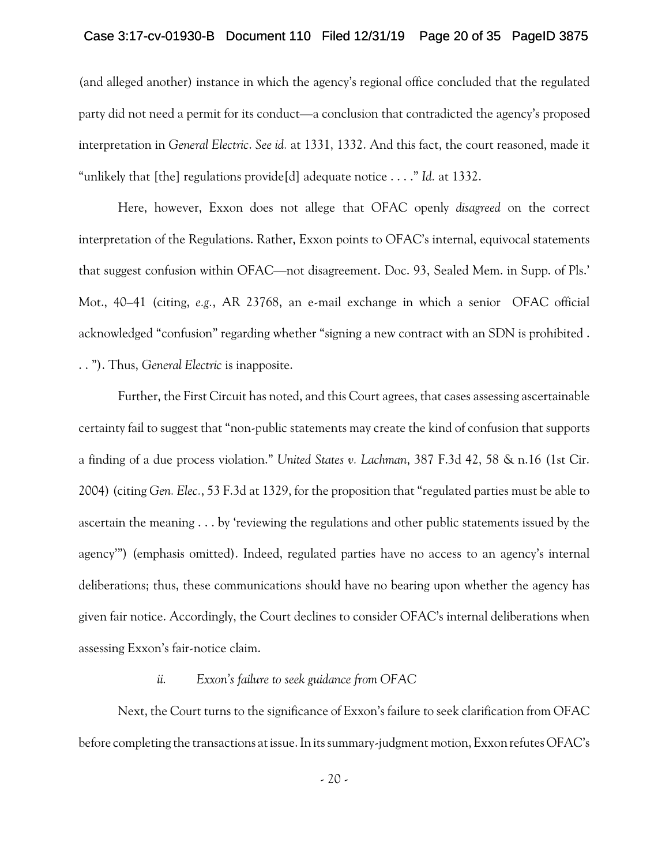## Case 3:17-cv-01930-B Document 110 Filed 12/31/19 Page 20 of 35 PageID 3875

(and alleged another) instance in which the agency's regional office concluded that the regulated party did not need a permit for its conduct—a conclusion that contradicted the agency's proposed interpretation in *General Electric*. *See id.* at 1331, 1332. And this fact, the court reasoned, made it "unlikely that [the] regulations provide[d] adequate notice . . . ." *Id.* at 1332.

Here, however, Exxon does not allege that OFAC openly *disagreed* on the correct interpretation of the Regulations. Rather, Exxon points to OFAC's internal, equivocal statements that suggest confusion within OFAC—not disagreement. Doc. 93, Sealed Mem. in Supp. of Pls.' Mot., 40–41 (citing, *e.g.*, AR 23768, an e-mail exchange in which a senior OFAC official acknowledged "confusion" regarding whether "signing a new contract with an SDN is prohibited . . . "). Thus, *General Electric* is inapposite.

Further, the First Circuit has noted, and this Court agrees, that cases assessing ascertainable certainty fail to suggest that "non-public statements may create the kind of confusion that supports a finding of a due process violation." *United States v. Lachman*, 387 F.3d 42, 58 & n.16 (1st Cir. 2004) (citing *Gen. Elec.*, 53 F.3d at 1329, for the proposition that "regulated parties must be able to ascertain the meaning . . . by 'reviewing the regulations and other public statements issued by the agency'") (emphasis omitted). Indeed, regulated parties have no access to an agency's internal deliberations; thus, these communications should have no bearing upon whether the agency has given fair notice. Accordingly, the Court declines to consider OFAC's internal deliberations when assessing Exxon's fair-notice claim.

## *ii. Exxon's failure to seek guidance from OFAC*

Next, the Court turns to the significance of Exxon's failure to seek clarification from OFAC before completing the transactions at issue. In its summary-judgment motion, Exxon refutes OFAC's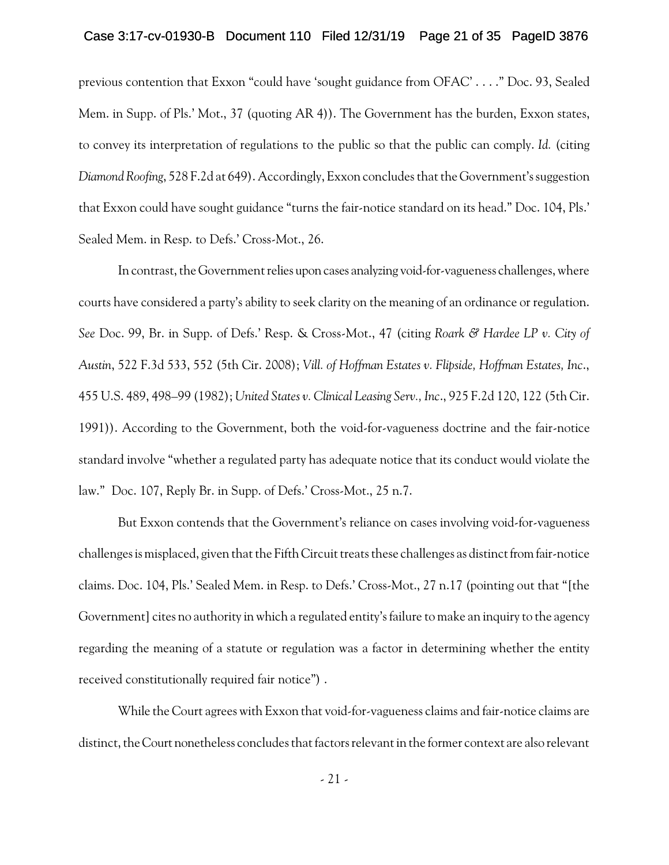### Case 3:17-cv-01930-B Document 110 Filed 12/31/19 Page 21 of 35 PageID 3876

previous contention that Exxon "could have 'sought guidance from OFAC' . . . ." Doc. 93, Sealed Mem. in Supp. of Pls.' Mot., 37 (quoting AR 4)). The Government has the burden, Exxon states, to convey its interpretation of regulations to the public so that the public can comply. *Id.* (citing *Diamond Roofing*, 528 F.2d at 649). Accordingly, Exxon concludes that the Government's suggestion that Exxon could have sought guidance "turns the fair-notice standard on its head." Doc. 104, Pls.' Sealed Mem. in Resp. to Defs.' Cross-Mot., 26.

In contrast, the Government relies upon cases analyzing void-for-vagueness challenges, where courts have considered a party's ability to seek clarity on the meaning of an ordinance or regulation. *See* Doc. 99, Br. in Supp. of Defs.' Resp. & Cross-Mot., 47 (citing *Roark & Hardee LP v. City of Austin*, 522 F.3d 533, 552 (5th Cir. 2008); *Vill. of Hoffman Estates v. Flipside, Hoffman Estates, Inc*., 455 U.S. 489, 498–99 (1982); *United States v. Clinical Leasing Serv., Inc*., 925 F.2d 120, 122 (5th Cir. 1991)). According to the Government, both the void-for-vagueness doctrine and the fair-notice standard involve "whether a regulated party has adequate notice that its conduct would violate the law." Doc. 107, Reply Br. in Supp. of Defs.' Cross-Mot., 25 n.7.

But Exxon contends that the Government's reliance on cases involving void-for-vagueness challenges is misplaced, given that the Fifth Circuit treats these challenges as distinct from fair-notice claims. Doc. 104, Pls.' Sealed Mem. in Resp. to Defs.' Cross-Mot., 27 n.17 (pointing out that "[the Government] cites no authority in which a regulated entity's failure to make an inquiry to the agency regarding the meaning of a statute or regulation was a factor in determining whether the entity received constitutionally required fair notice") .

While the Court agrees with Exxon that void-for-vagueness claims and fair-notice claims are distinct, the Court nonetheless concludes that factors relevant in the former context are also relevant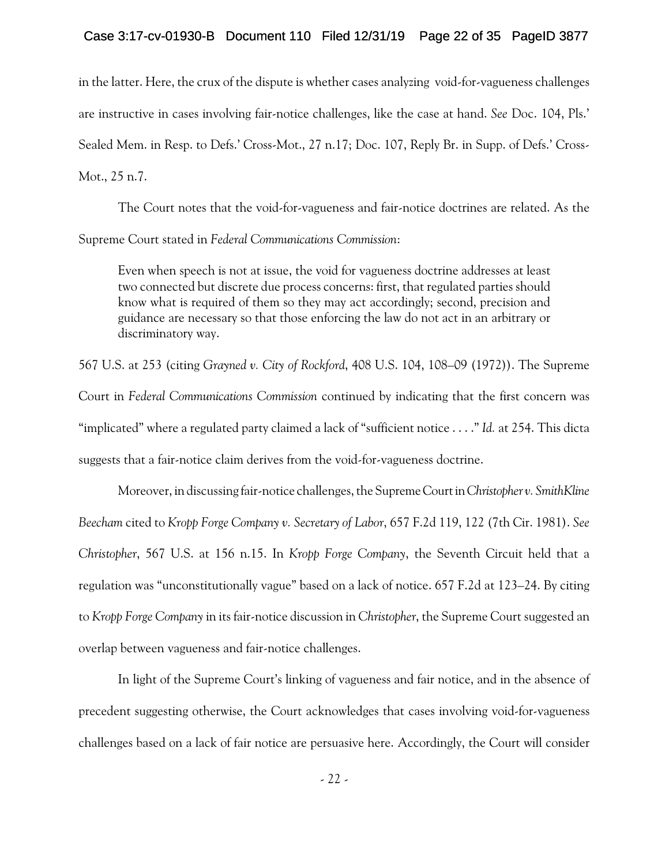## Case 3:17-cv-01930-B Document 110 Filed 12/31/19 Page 22 of 35 PageID 3877

in the latter. Here, the crux of the dispute is whether cases analyzing void-for-vagueness challenges are instructive in cases involving fair-notice challenges, like the case at hand. *See* Doc. 104, Pls.' Sealed Mem. in Resp. to Defs.' Cross-Mot., 27 n.17; Doc. 107, Reply Br. in Supp. of Defs.' Cross-Mot., 25 n.7.

The Court notes that the void-for-vagueness and fair-notice doctrines are related. As the Supreme Court stated in *Federal Communications Commission*:

Even when speech is not at issue, the void for vagueness doctrine addresses at least two connected but discrete due process concerns: first, that regulated parties should know what is required of them so they may act accordingly; second, precision and guidance are necessary so that those enforcing the law do not act in an arbitrary or discriminatory way.

567 U.S. at 253 (citing *Grayned v. City of Rockford*, 408 U.S. 104, 108–09 (1972)). The Supreme Court in *Federal Communications Commission* continued by indicating that the first concern was "implicated" where a regulated party claimed a lack of "sufficient notice . . . ." *Id.* at 254. This dicta suggests that a fair-notice claim derives from the void-for-vagueness doctrine.

Moreover, in discussing fair-notice challenges, the SupremeCourtin*Christopher v. SmithKline Beecham* cited to *Kropp Forge Company v. Secretary of Labor*, 657 F.2d 119, 122 (7th Cir. 1981). *See Christopher*, 567 U.S. at 156 n.15. In *Kropp Forge Company*, the Seventh Circuit held that a regulation was "unconstitutionally vague" based on a lack of notice. 657 F.2d at 123–24. By citing to *Kropp Forge Company* in its fair-notice discussion in *Christopher*, the Supreme Court suggested an overlap between vagueness and fair-notice challenges.

In light of the Supreme Court's linking of vagueness and fair notice, and in the absence of precedent suggesting otherwise, the Court acknowledges that cases involving void-for-vagueness challenges based on a lack of fair notice are persuasive here. Accordingly, the Court will consider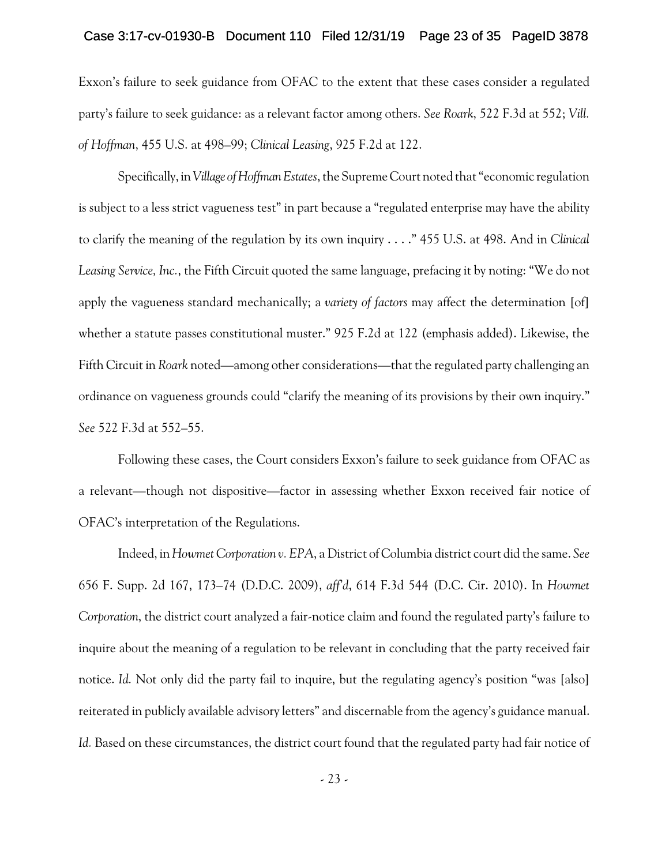### Case 3:17-cv-01930-B Document 110 Filed 12/31/19 Page 23 of 35 PageID 3878

Exxon's failure to seek guidance from OFAC to the extent that these cases consider a regulated party's failure to seek guidance: as a relevant factor among others. *See Roark*, 522 F.3d at 552; *Vill. of Hoffman*, 455 U.S. at 498–99; *Clinical Leasing*, 925 F.2d at 122.

Specifically, in*Village ofHoffmanEstates*, the Supreme Court noted that "economic regulation is subject to a less strict vagueness test" in part because a "regulated enterprise may have the ability to clarify the meaning of the regulation by its own inquiry . . . ." 455 U.S. at 498. And in *Clinical Leasing Service, Inc.*, the Fifth Circuit quoted the same language, prefacing it by noting: "We do not apply the vagueness standard mechanically; a *variety of factors* may affect the determination [of] whether a statute passes constitutional muster." 925 F.2d at 122 (emphasis added). Likewise, the Fifth Circuit in *Roark* noted—among other considerations—that the regulated party challenging an ordinance on vagueness grounds could "clarify the meaning of its provisions by their own inquiry." *See* 522 F.3d at 552–55.

Following these cases, the Court considers Exxon's failure to seek guidance from OFAC as a relevant—though not dispositive—factor in assessing whether Exxon received fair notice of OFAC's interpretation of the Regulations.

Indeed, in *Howmet Corporation v. EPA*, a District of Columbia district court did the same. *See* 656 F. Supp. 2d 167, 173–74 (D.D.C. 2009), *aff'd*, 614 F.3d 544 (D.C. Cir. 2010). In *Howmet Corporation*, the district court analyzed a fair-notice claim and found the regulated party's failure to inquire about the meaning of a regulation to be relevant in concluding that the party received fair notice. *Id.* Not only did the party fail to inquire, but the regulating agency's position "was [also] reiterated in publicly available advisory letters" and discernable from the agency's guidance manual. *Id.* Based on these circumstances, the district court found that the regulated party had fair notice of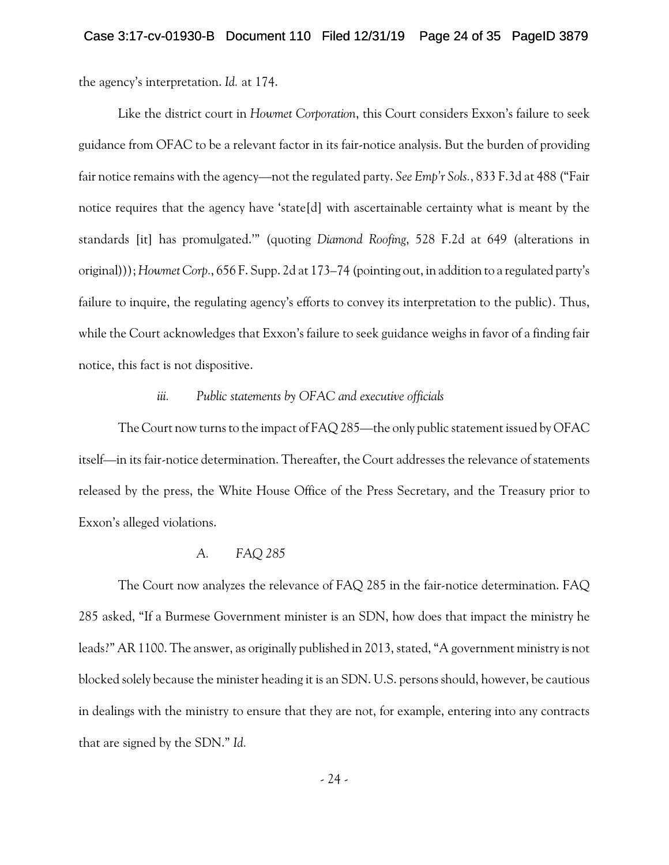the agency's interpretation. *Id.* at 174.

Like the district court in *Howmet Corporation*, this Court considers Exxon's failure to seek guidance from OFAC to be a relevant factor in its fair-notice analysis. But the burden of providing fair notice remains with the agency—not the regulated party. *See Emp'r Sols.*, 833 F.3d at 488 ("Fair notice requires that the agency have 'state[d] with ascertainable certainty what is meant by the standards [it] has promulgated.'" (quoting *Diamond Roofing*, 528 F.2d at 649 (alterations in original))); *Howmet Corp.*, 656 F. Supp. 2d at 173–74 (pointing out, in addition to a regulated party's failure to inquire, the regulating agency's efforts to convey its interpretation to the public). Thus, while the Court acknowledges that Exxon's failure to seek guidance weighs in favor of a finding fair notice, this fact is not dispositive.

## *iii. Public statements by OFAC and executive officials*

The Court now turns to the impact of FAQ 285—the only public statement issued by OFAC itself—in its fair-notice determination. Thereafter, the Court addresses the relevance of statements released by the press, the White House Office of the Press Secretary, and the Treasury prior to Exxon's alleged violations.

#### *A. FAQ 285*

The Court now analyzes the relevance of FAQ 285 in the fair-notice determination. FAQ 285 asked, "If a Burmese Government minister is an SDN, how does that impact the ministry he leads?" AR 1100. The answer, as originally published in 2013, stated, "A government ministry is not blocked solely because the minister heading it is an SDN. U.S. persons should, however, be cautious in dealings with the ministry to ensure that they are not, for example, entering into any contracts that are signed by the SDN." *Id.*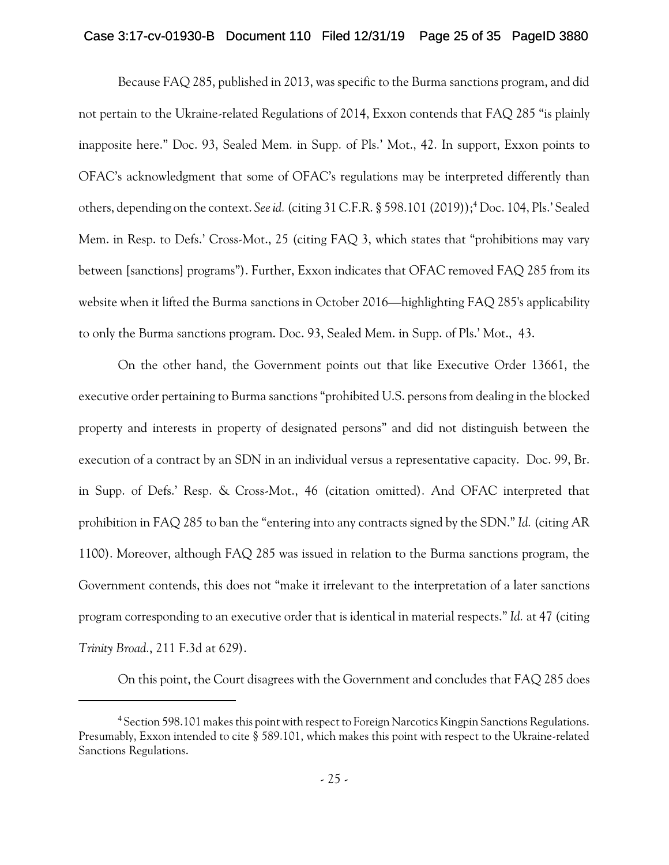### Case 3:17-cv-01930-B Document 110 Filed 12/31/19 Page 25 of 35 PageID 3880

Because FAQ 285, published in 2013, was specific to the Burma sanctions program, and did not pertain to the Ukraine-related Regulations of 2014, Exxon contends that FAQ 285 "is plainly inapposite here." Doc. 93, Sealed Mem. in Supp. of Pls.' Mot., 42. In support, Exxon points to OFAC's acknowledgment that some of OFAC's regulations may be interpreted differently than others, depending on the context. See id. (citing 31 C.F.R. § 598.101 (2019));<sup>4</sup> Doc. 104, Pls.' Sealed Mem. in Resp. to Defs.' Cross-Mot., 25 (citing FAQ 3, which states that "prohibitions may vary between [sanctions] programs"). Further, Exxon indicates that OFAC removed FAQ 285 from its website when it lifted the Burma sanctions in October 2016—highlighting FAQ 285's applicability to only the Burma sanctions program. Doc. 93, Sealed Mem. in Supp. of Pls.' Mot., 43.

On the other hand, the Government points out that like Executive Order 13661, the executive order pertaining to Burma sanctions "prohibited U.S. persons from dealing in the blocked property and interests in property of designated persons" and did not distinguish between the execution of a contract by an SDN in an individual versus a representative capacity. Doc. 99, Br. in Supp. of Defs.' Resp. & Cross-Mot., 46 (citation omitted). And OFAC interpreted that prohibition in FAQ 285 to ban the "entering into any contracts signed by the SDN." *Id.* (citing AR 1100). Moreover, although FAQ 285 was issued in relation to the Burma sanctions program, the Government contends, this does not "make it irrelevant to the interpretation of a later sanctions program corresponding to an executive order that is identical in material respects." *Id.* at 47 (citing *Trinity Broad.*, 211 F.3d at 629).

On this point, the Court disagrees with the Government and concludes that FAQ 285 does

<sup>4</sup> Section 598.101 makes this point with respect to Foreign Narcotics Kingpin Sanctions Regulations. Presumably, Exxon intended to cite § 589.101, which makes this point with respect to the Ukraine-related Sanctions Regulations.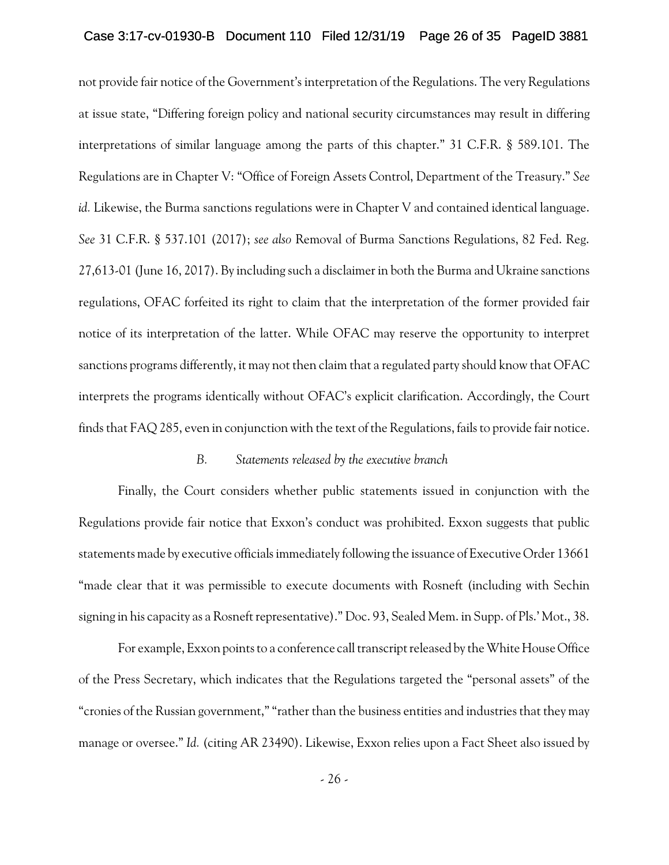### Case 3:17-cv-01930-B Document 110 Filed 12/31/19 Page 26 of 35 PageID 3881

not provide fair notice of the Government's interpretation of the Regulations. The very Regulations at issue state, "Differing foreign policy and national security circumstances may result in differing interpretations of similar language among the parts of this chapter." 31 C.F.R. § 589.101. The Regulations are in Chapter V: "Office of Foreign Assets Control, Department of the Treasury." *See id.* Likewise, the Burma sanctions regulations were in Chapter V and contained identical language. *See* 31 C.F.R. § 537.101 (2017); *see also* Removal of Burma Sanctions Regulations, 82 Fed. Reg. 27,613-01 (June 16, 2017). By including such a disclaimer in both the Burma and Ukraine sanctions regulations, OFAC forfeited its right to claim that the interpretation of the former provided fair notice of its interpretation of the latter. While OFAC may reserve the opportunity to interpret sanctions programs differently, it may not then claim that a regulated party should know that OFAC interprets the programs identically without OFAC's explicit clarification. Accordingly, the Court finds that FAQ 285, even in conjunction with the text of the Regulations, fails to provide fair notice.

## *B. Statements released by the executive branch*

Finally, the Court considers whether public statements issued in conjunction with the Regulations provide fair notice that Exxon's conduct was prohibited. Exxon suggests that public statements made by executive officials immediately following the issuance of Executive Order 13661 "made clear that it was permissible to execute documents with Rosneft (including with Sechin signing in his capacity as a Rosneft representative)." Doc. 93, Sealed Mem. in Supp. of Pls.' Mot., 38.

For example, Exxon points to a conference call transcript released by the White House Office of the Press Secretary, which indicates that the Regulations targeted the "personal assets" of the "cronies of the Russian government,""rather than the business entities and industries that they may manage or oversee." *Id.* (citing AR 23490). Likewise, Exxon relies upon a Fact Sheet also issued by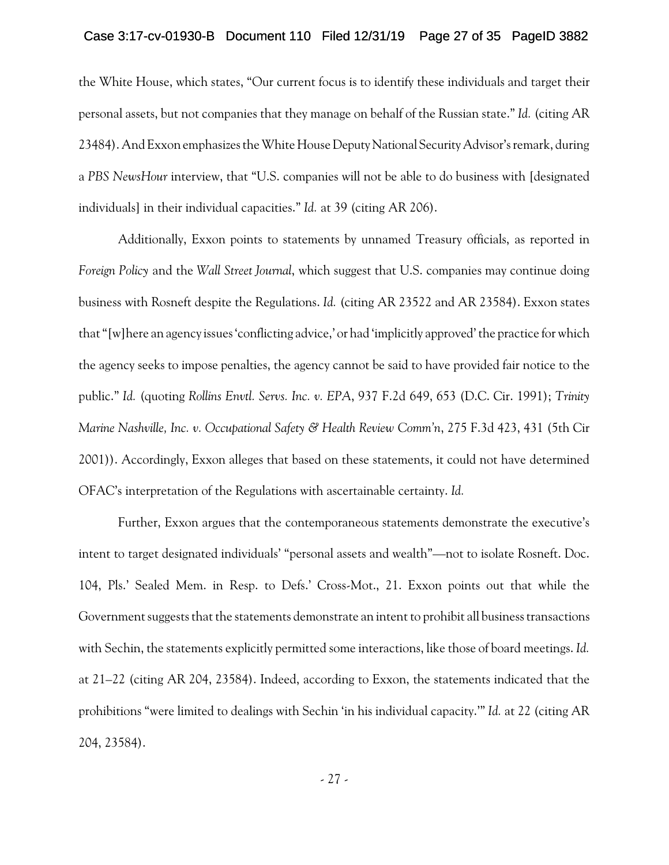### Case 3:17-cv-01930-B Document 110 Filed 12/31/19 Page 27 of 35 PageID 3882

the White House, which states, "Our current focus is to identify these individuals and target their personal assets, but not companies that they manage on behalf of the Russian state." *Id.* (citing AR 23484). And Exxon emphasizes the White House Deputy National Security Advisor's remark, during a *PBS NewsHour* interview, that "U.S. companies will not be able to do business with [designated individuals] in their individual capacities." *Id.* at 39 (citing AR 206).

Additionally, Exxon points to statements by unnamed Treasury officials, as reported in *Foreign Policy* and the *Wall Street Journal*, which suggest that U.S. companies may continue doing business with Rosneft despite the Regulations. *Id.* (citing AR 23522 and AR 23584). Exxon states that "[w]here an agency issues 'conflicting advice,' or had 'implicitly approved' the practice for which the agency seeks to impose penalties, the agency cannot be said to have provided fair notice to the public." *Id.* (quoting *Rollins Envtl. Servs. Inc. v. EPA*, 937 F.2d 649, 653 (D.C. Cir. 1991); *Trinity Marine Nashville, Inc. v. Occupational Safety & Health Review Comm'n*, 275 F.3d 423, 431 (5th Cir 2001)). Accordingly, Exxon alleges that based on these statements, it could not have determined OFAC's interpretation of the Regulations with ascertainable certainty. *Id.*

Further, Exxon argues that the contemporaneous statements demonstrate the executive's intent to target designated individuals' "personal assets and wealth"—not to isolate Rosneft. Doc. 104, Pls.' Sealed Mem. in Resp. to Defs.' Cross-Mot., 21. Exxon points out that while the Government suggests that the statements demonstrate an intent to prohibit all business transactions with Sechin, the statements explicitly permitted some interactions, like those of board meetings. *Id.* at 21–22 (citing AR 204, 23584). Indeed, according to Exxon, the statements indicated that the prohibitions "were limited to dealings with Sechin 'in his individual capacity.'" *Id.* at 22 (citing AR 204, 23584).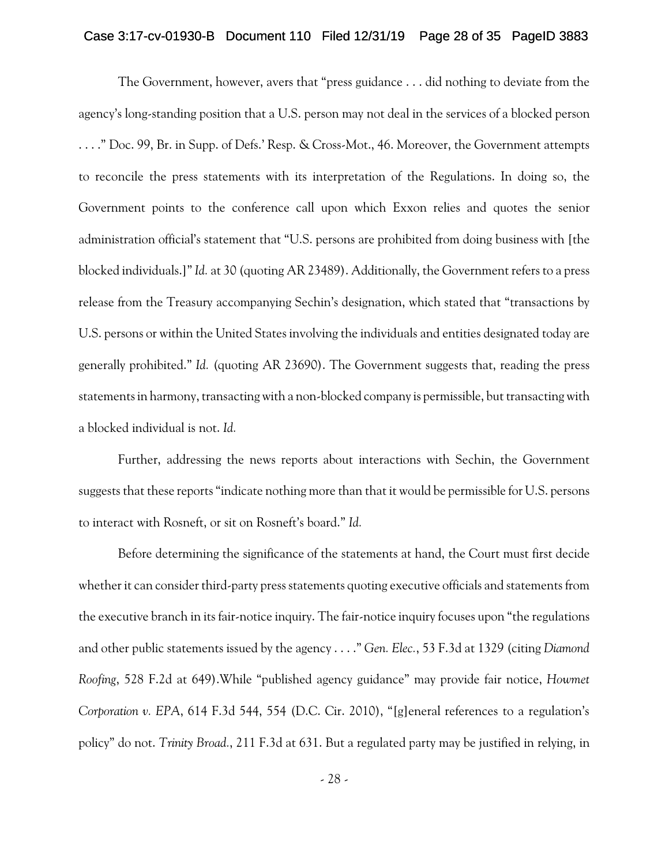### Case 3:17-cv-01930-B Document 110 Filed 12/31/19 Page 28 of 35 PageID 3883

The Government, however, avers that "press guidance . . . did nothing to deviate from the agency's long-standing position that a U.S. person may not deal in the services of a blocked person . . . ." Doc. 99, Br. in Supp. of Defs.' Resp. & Cross-Mot., 46. Moreover, the Government attempts to reconcile the press statements with its interpretation of the Regulations. In doing so, the Government points to the conference call upon which Exxon relies and quotes the senior administration official's statement that "U.S. persons are prohibited from doing business with [the blocked individuals.]"*Id.* at 30 (quoting AR 23489). Additionally, the Government refers to a press release from the Treasury accompanying Sechin's designation, which stated that "transactions by U.S. persons or within the United States involving the individuals and entities designated today are generally prohibited." *Id.* (quoting AR 23690). The Government suggests that, reading the press statements in harmony, transacting with a non-blocked company is permissible, but transacting with a blocked individual is not. *Id.*

Further, addressing the news reports about interactions with Sechin, the Government suggests that these reports "indicate nothing more than that it would be permissible for U.S. persons to interact with Rosneft, or sit on Rosneft's board." *Id.*

Before determining the significance of the statements at hand, the Court must first decide whether it can consider third-party press statements quoting executive officials and statements from the executive branch in its fair-notice inquiry. The fair-notice inquiry focuses upon "the regulations and other public statements issued by the agency . . . ." *Gen. Elec.*, 53 F.3d at 1329 (citing *Diamond Roofing*, 528 F.2d at 649).While "published agency guidance" may provide fair notice, *Howmet Corporation v. EPA*, 614 F.3d 544, 554 (D.C. Cir. 2010), "[g]eneral references to a regulation's policy" do not. *Trinity Broad.*, 211 F.3d at 631. But a regulated party may be justified in relying, in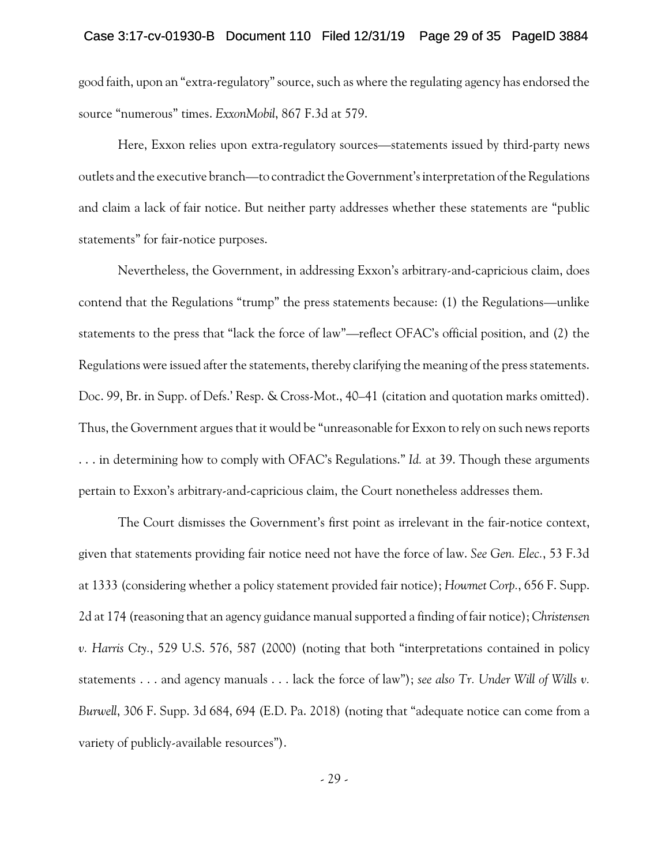good faith, upon an "extra-regulatory"source, such as where the regulating agency has endorsed the source "numerous" times. *ExxonMobil*, 867 F.3d at 579.

Here, Exxon relies upon extra-regulatory sources—statements issued by third-party news outlets and the executive branch—to contradict the Government's interpretation of the Regulations and claim a lack of fair notice. But neither party addresses whether these statements are "public statements" for fair-notice purposes.

Nevertheless, the Government, in addressing Exxon's arbitrary-and-capricious claim, does contend that the Regulations "trump" the press statements because: (1) the Regulations—unlike statements to the press that "lack the force of law"—reflect OFAC's official position, and (2) the Regulations were issued after the statements, thereby clarifying the meaning of the press statements. Doc. 99, Br. in Supp. of Defs.' Resp. & Cross-Mot., 40–41 (citation and quotation marks omitted). Thus, the Government argues that it would be "unreasonable for Exxon to rely on such news reports . . . in determining how to comply with OFAC's Regulations." *Id.* at 39. Though these arguments pertain to Exxon's arbitrary-and-capricious claim, the Court nonetheless addresses them.

The Court dismisses the Government's first point as irrelevant in the fair-notice context, given that statements providing fair notice need not have the force of law. *See Gen. Elec.*, 53 F.3d at 1333 (considering whether a policy statement provided fair notice); *Howmet Corp.*, 656 F. Supp. 2d at 174 (reasoning that an agency guidance manual supported a finding of fair notice); *Christensen v. Harris Cty.*, 529 U.S. 576, 587 (2000) (noting that both "interpretations contained in policy statements . . . and agency manuals . . . lack the force of law"); *see also Tr. Under Will of Wills v. Burwell*, 306 F. Supp. 3d 684, 694 (E.D. Pa. 2018) (noting that "adequate notice can come from a variety of publicly-available resources").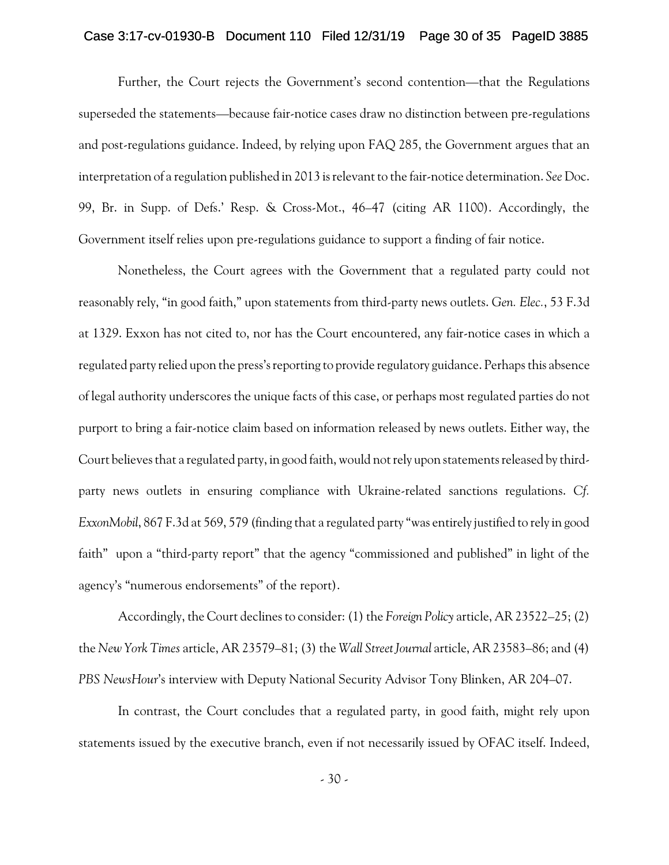### Case 3:17-cv-01930-B Document 110 Filed 12/31/19 Page 30 of 35 PageID 3885

Further, the Court rejects the Government's second contention—that the Regulations superseded the statements—because fair-notice cases draw no distinction between pre-regulations and post-regulations guidance. Indeed, by relying upon FAQ 285, the Government argues that an interpretation of a regulation published in 2013 is relevant to the fair-notice determination. *See* Doc. 99, Br. in Supp. of Defs.' Resp. & Cross-Mot., 46–47 (citing AR 1100). Accordingly, the Government itself relies upon pre-regulations guidance to support a finding of fair notice.

Nonetheless, the Court agrees with the Government that a regulated party could not reasonably rely, "in good faith," upon statements from third-party news outlets. *Gen. Elec.*, 53 F.3d at 1329. Exxon has not cited to, nor has the Court encountered, any fair-notice cases in which a regulated party relied upon the press's reporting to provide regulatory guidance. Perhaps this absence of legal authority underscores the unique facts of this case, or perhaps most regulated parties do not purport to bring a fair-notice claim based on information released by news outlets. Either way, the Court believes that a regulated party, in good faith, would not rely upon statements released by thirdparty news outlets in ensuring compliance with Ukraine-related sanctions regulations. *Cf. ExxonMobil*, 867 F.3d at 569, 579 (finding that a regulated party "was entirely justified to rely in good faith" upon a "third-party report" that the agency "commissioned and published" in light of the agency's "numerous endorsements" of the report).

Accordingly, the Court declines to consider: (1) the *Foreign Policy* article, AR 23522–25; (2) the *New York Times* article, AR 23579–81; (3) the *Wall Street Journal* article, AR 23583–86; and (4) *PBS NewsHour*'s interview with Deputy National Security Advisor Tony Blinken, AR 204–07.

In contrast, the Court concludes that a regulated party, in good faith, might rely upon statements issued by the executive branch, even if not necessarily issued by OFAC itself. Indeed,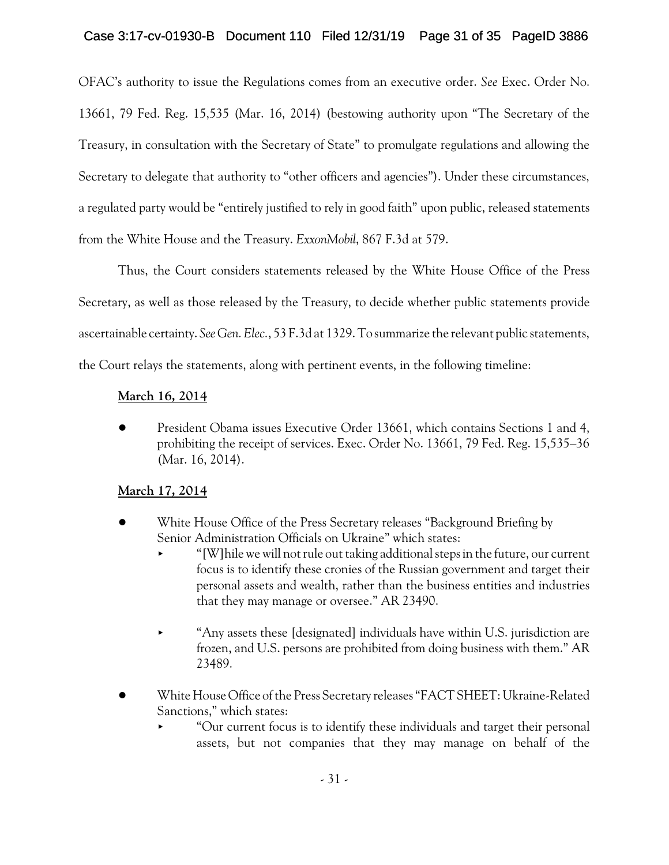OFAC's authority to issue the Regulations comes from an executive order. *See* Exec. Order No. 13661, 79 Fed. Reg. 15,535 (Mar. 16, 2014) (bestowing authority upon "The Secretary of the Treasury, in consultation with the Secretary of State" to promulgate regulations and allowing the Secretary to delegate that authority to "other officers and agencies"). Under these circumstances, a regulated party would be "entirely justified to rely in good faith" upon public, released statements from the White House and the Treasury. *ExxonMobil*, 867 F.3d at 579.

Thus, the Court considers statements released by the White House Office of the Press Secretary, as well as those released by the Treasury, to decide whether public statements provide ascertainable certainty. *SeeGen. Elec.*, 53 F.3d at 1329. To summarize the relevant public statements, the Court relays the statements, along with pertinent events, in the following timeline:

# **March 16, 2014**

! President Obama issues Executive Order 13661, which contains Sections 1 and 4, prohibiting the receipt of services. Exec. Order No. 13661, 79 Fed. Reg. 15,535–36 (Mar. 16, 2014).

## **March 17, 2014**

- White House Office of the Press Secretary releases "Background Briefing by Senior Administration Officials on Ukraine" which states:
	- < "[W]hile we will not rule out taking additionalsteps in the future, our current focus is to identify these cronies of the Russian government and target their personal assets and wealth, rather than the business entities and industries that they may manage or oversee." AR 23490.
	- $\blacktriangleright$  "Any assets these [designated] individuals have within U.S. jurisdiction are frozen, and U.S. persons are prohibited from doing business with them." AR 23489.
- ! White House Office of the Press Secretary releases "FACT SHEET: Ukraine-Related Sanctions," which states:
	- < "Our current focus is to identify these individuals and target their personal assets, but not companies that they may manage on behalf of the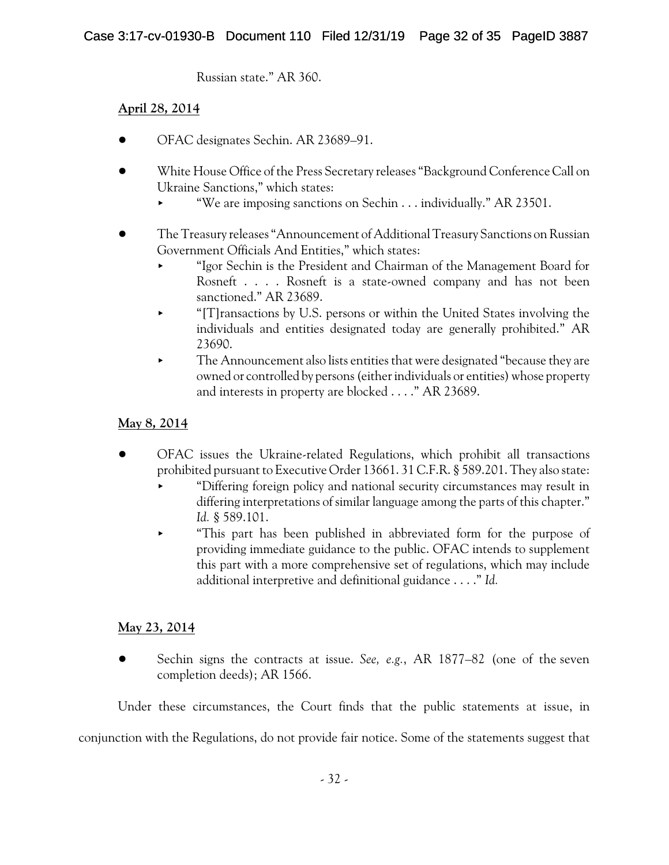Russian state." AR 360.

## **April 28, 2014**

- ! OFAC designates Sechin. AR 23689–91.
- ! White House Office of the Press Secretary releases "Background Conference Call on Ukraine Sanctions," which states:
	- "We are imposing sanctions on Sechin . . . individually." AR 23501.
- ! The Treasury releases "Announcement of AdditionalTreasury Sanctions on Russian Government Officials And Entities," which states:
	- < "Igor Sechin is the President and Chairman of the Management Board for Rosneft . . . . Rosneft is a state-owned company and has not been sanctioned." AR 23689.
	- < "[T]ransactions by U.S. persons or within the United States involving the individuals and entities designated today are generally prohibited." AR 23690.
	- < The Announcement also lists entities that were designated "because they are owned or controlled by persons (either individuals or entities) whose property and interests in property are blocked . . . ." AR 23689.

## **May 8, 2014**

- ! OFAC issues the Ukraine-related Regulations, which prohibit all transactions prohibited pursuant to Executive Order 13661. 31 C.F.R. § 589.201. They also state:
	- "Differing foreign policy and national security circumstances may result in differing interpretations of similar language among the parts of this chapter." *Id.* § 589.101.
	- < "This part has been published in abbreviated form for the purpose of providing immediate guidance to the public. OFAC intends to supplement this part with a more comprehensive set of regulations, which may include additional interpretive and definitional guidance . . . ." *Id.*

## **May 23, 2014**

! Sechin signs the contracts at issue. *See, e.g.*, AR 1877–82 (one of the seven completion deeds); AR 1566.

Under these circumstances, the Court finds that the public statements at issue, in

conjunction with the Regulations, do not provide fair notice. Some of the statements suggest that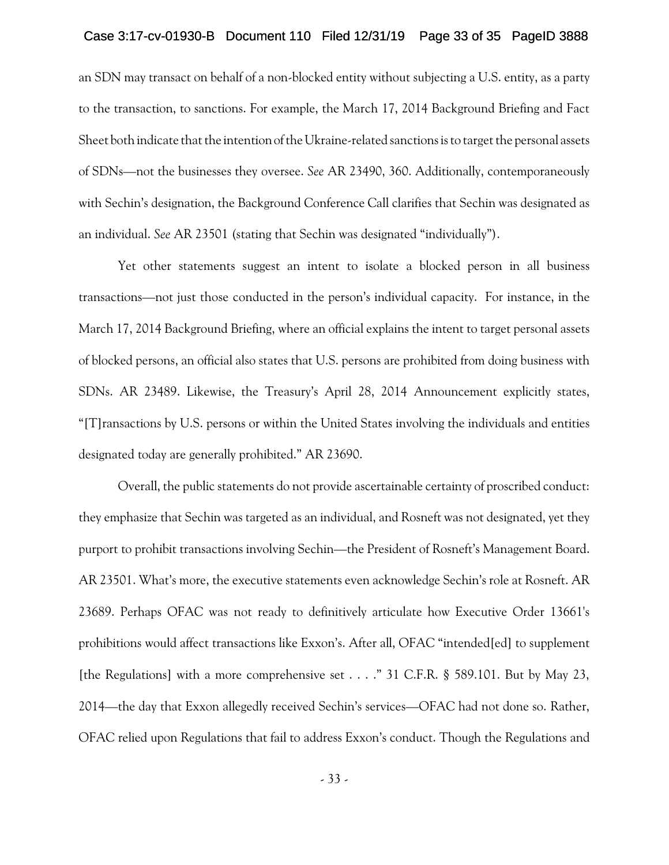## Case 3:17-cv-01930-B Document 110 Filed 12/31/19 Page 33 of 35 PageID 3888

an SDN may transact on behalf of a non-blocked entity without subjecting a U.S. entity, as a party to the transaction, to sanctions. For example, the March 17, 2014 Background Briefing and Fact Sheet both indicate that the intentionof the Ukraine-related sanctions is to target the personal assets of SDNs—not the businesses they oversee. *See* AR 23490, 360. Additionally, contemporaneously with Sechin's designation, the Background Conference Call clarifies that Sechin was designated as an individual. *See* AR 23501 (stating that Sechin was designated "individually").

Yet other statements suggest an intent to isolate a blocked person in all business transactions—not just those conducted in the person's individual capacity. For instance, in the March 17, 2014 Background Briefing, where an official explains the intent to target personal assets of blocked persons, an official also states that U.S. persons are prohibited from doing business with SDNs. AR 23489. Likewise, the Treasury's April 28, 2014 Announcement explicitly states, "[T]ransactions by U.S. persons or within the United States involving the individuals and entities designated today are generally prohibited." AR 23690.

Overall, the public statements do not provide ascertainable certainty of proscribed conduct: they emphasize that Sechin was targeted as an individual, and Rosneft was not designated, yet they purport to prohibit transactions involving Sechin—the President of Rosneft's Management Board. AR 23501. What's more, the executive statements even acknowledge Sechin's role at Rosneft. AR 23689. Perhaps OFAC was not ready to definitively articulate how Executive Order 13661's prohibitions would affect transactions like Exxon's. After all, OFAC "intended[ed] to supplement [the Regulations] with a more comprehensive set . . . ." 31 C.F.R. § 589.101. But by May 23, 2014—the day that Exxon allegedly received Sechin's services—OFAC had not done so. Rather, OFAC relied upon Regulations that fail to address Exxon's conduct. Though the Regulations and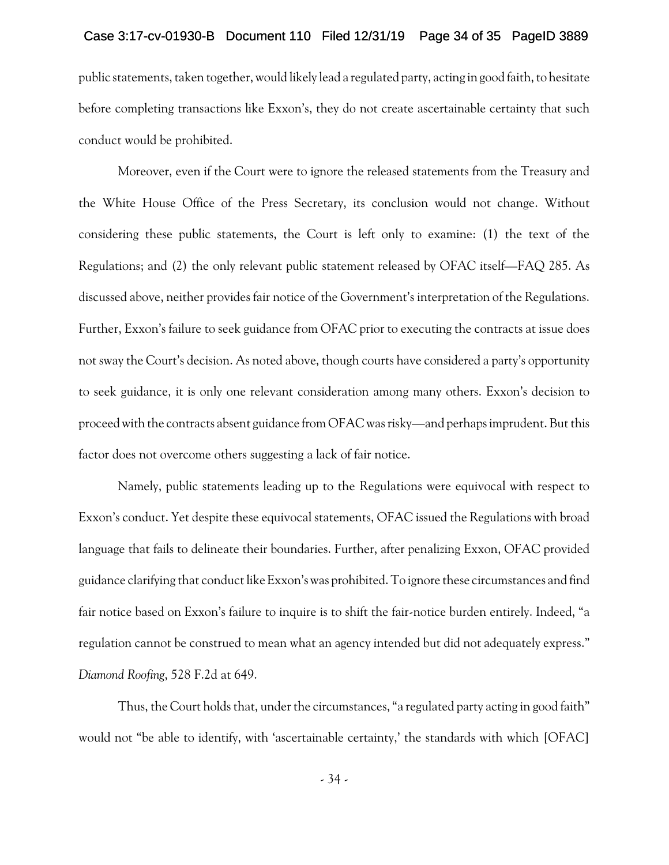## Case 3:17-cv-01930-B Document 110 Filed 12/31/19 Page 34 of 35 PageID 3889

public statements, taken together, would likely lead a regulated party, acting in good faith, to hesitate before completing transactions like Exxon's, they do not create ascertainable certainty that such conduct would be prohibited.

Moreover, even if the Court were to ignore the released statements from the Treasury and the White House Office of the Press Secretary, its conclusion would not change. Without considering these public statements, the Court is left only to examine: (1) the text of the Regulations; and (2) the only relevant public statement released by OFAC itself—FAQ 285. As discussed above, neither provides fair notice of the Government's interpretation of the Regulations. Further, Exxon's failure to seek guidance from OFAC prior to executing the contracts at issue does not sway the Court's decision. As noted above, though courts have considered a party's opportunity to seek guidance, it is only one relevant consideration among many others. Exxon's decision to proceed with the contracts absent guidance from OFAC was risky—and perhaps imprudent. But this factor does not overcome others suggesting a lack of fair notice.

Namely, public statements leading up to the Regulations were equivocal with respect to Exxon's conduct. Yet despite these equivocal statements, OFAC issued the Regulations with broad language that fails to delineate their boundaries. Further, after penalizing Exxon, OFAC provided guidance clarifying that conduct like Exxon's was prohibited. To ignore these circumstances and find fair notice based on Exxon's failure to inquire is to shift the fair-notice burden entirely. Indeed, "a regulation cannot be construed to mean what an agency intended but did not adequately express." *Diamond Roofing*, 528 F.2d at 649.

Thus, the Court holds that, under the circumstances, "a regulated party acting in good faith" would not "be able to identify, with 'ascertainable certainty,' the standards with which [OFAC]